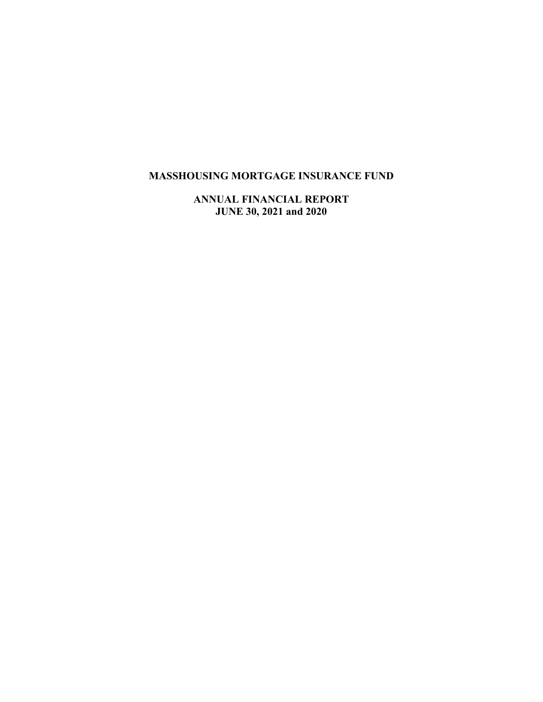# **MASSHOUSING MORTGAGE INSURANCE FUND**

**ANNUAL FINANCIAL REPORT JUNE 30, 2021 and 2020**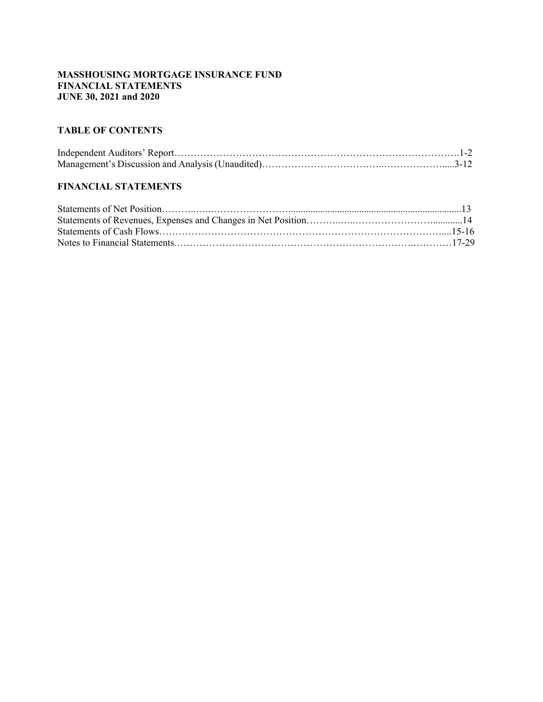# **MASSHOUSING MORTGAGE INSURANCE FUND FINANCIAL STATEMENTS JUNE 30, 2021 and 2020**

# **TABLE OF CONTENTS**

# **FINANCIAL STATEMENTS**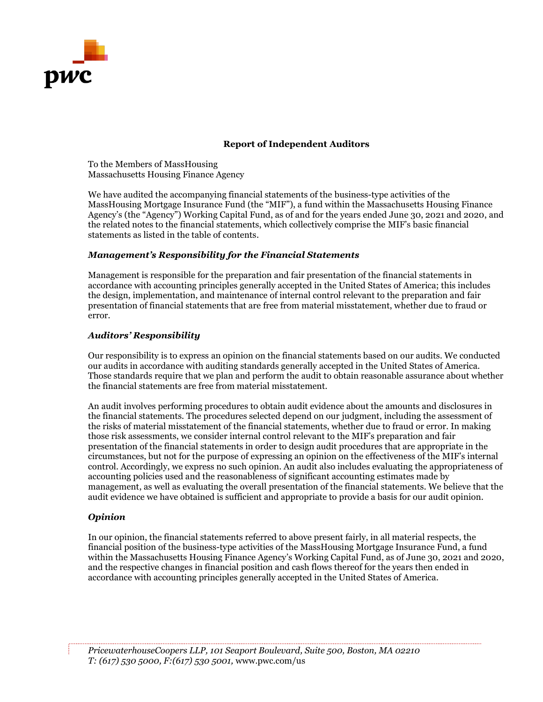

# **Report of Independent Auditors**

To the Members of MassHousing Massachusetts Housing Finance Agency

We have audited the accompanying financial statements of the business-type activities of the MassHousing Mortgage Insurance Fund (the "MIF"), a fund within the Massachusetts Housing Finance Agency's (the "Agency") Working Capital Fund, as of and for the years ended June 30, 2021 and 2020, and the related notes to the financial statements, which collectively comprise the MIF's basic financial statements as listed in the table of contents.

# *Management's Responsibility for the Financial Statements*

Management is responsible for the preparation and fair presentation of the financial statements in accordance with accounting principles generally accepted in the United States of America; this includes the design, implementation, and maintenance of internal control relevant to the preparation and fair presentation of financial statements that are free from material misstatement, whether due to fraud or error.

### *Auditors' Responsibility*

Our responsibility is to express an opinion on the financial statements based on our audits. We conducted our audits in accordance with auditing standards generally accepted in the United States of America. Those standards require that we plan and perform the audit to obtain reasonable assurance about whether the financial statements are free from material misstatement.

An audit involves performing procedures to obtain audit evidence about the amounts and disclosures in the financial statements. The procedures selected depend on our judgment, including the assessment of the risks of material misstatement of the financial statements, whether due to fraud or error. In making those risk assessments, we consider internal control relevant to the MIF's preparation and fair presentation of the financial statements in order to design audit procedures that are appropriate in the circumstances, but not for the purpose of expressing an opinion on the effectiveness of the MIF's internal control. Accordingly, we express no such opinion. An audit also includes evaluating the appropriateness of accounting policies used and the reasonableness of significant accounting estimates made by management, as well as evaluating the overall presentation of the financial statements. We believe that the audit evidence we have obtained is sufficient and appropriate to provide a basis for our audit opinion.

# *Opinion*

In our opinion, the financial statements referred to above present fairly, in all material respects, the financial position of the business-type activities of the MassHousing Mortgage Insurance Fund, a fund within the Massachusetts Housing Finance Agency's Working Capital Fund, as of June 30, 2021 and 2020, and the respective changes in financial position and cash flows thereof for the years then ended in accordance with accounting principles generally accepted in the United States of America.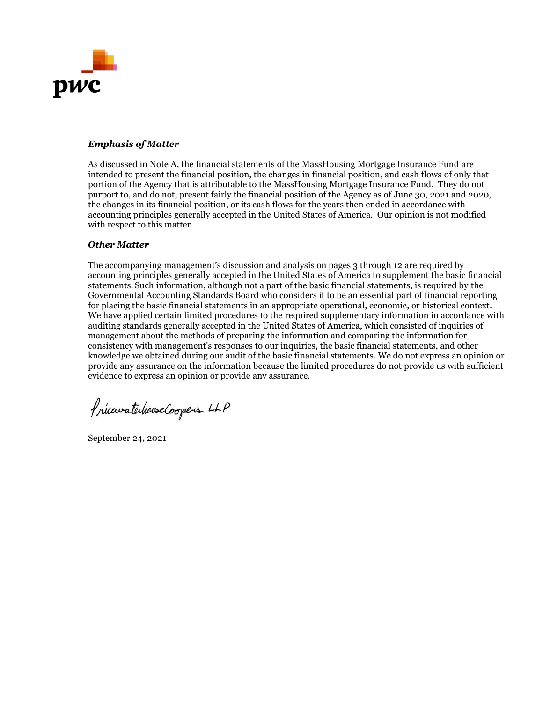

# *Emphasis of Matter*

As discussed in Note A, the financial statements of the MassHousing Mortgage Insurance Fund are intended to present the financial position, the changes in financial position, and cash flows of only that portion of the Agency that is attributable to the MassHousing Mortgage Insurance Fund. They do not purport to, and do not, present fairly the financial position of the Agency as of June 30, 2021 and 2020, the changes in its financial position, or its cash flows for the years then ended in accordance with accounting principles generally accepted in the United States of America. Our opinion is not modified with respect to this matter.

#### *Other Matter*

The accompanying management's discussion and analysis on pages 3 through 12 are required by accounting principles generally accepted in the United States of America to supplement the basic financial statements. Such information, although not a part of the basic financial statements, is required by the Governmental Accounting Standards Board who considers it to be an essential part of financial reporting for placing the basic financial statements in an appropriate operational, economic, or historical context. We have applied certain limited procedures to the required supplementary information in accordance with auditing standards generally accepted in the United States of America, which consisted of inquiries of management about the methods of preparing the information and comparing the information for consistency with management's responses to our inquiries, the basic financial statements, and other knowledge we obtained during our audit of the basic financial statements. We do not express an opinion or provide any assurance on the information because the limited procedures do not provide us with sufficient evidence to express an opinion or provide any assurance.

PrincevaterhouseCoopers LLP

September 24, 2021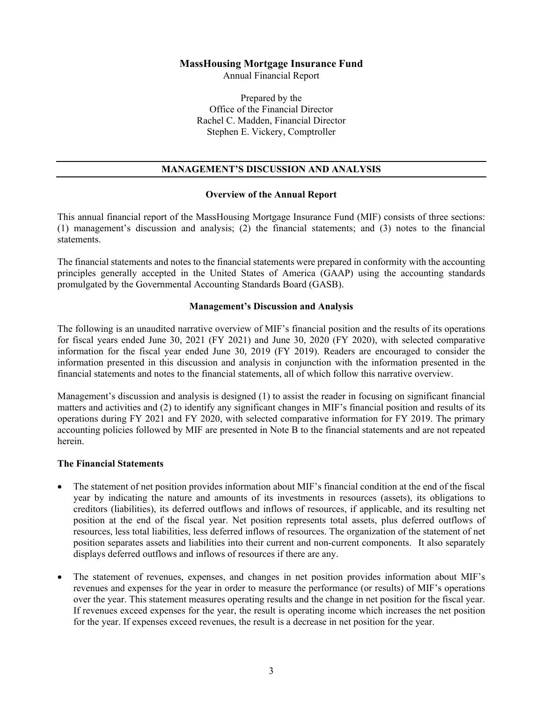# **MassHousing Mortgage Insurance Fund**

Annual Financial Report

Prepared by the Office of the Financial Director Rachel C. Madden, Financial Director Stephen E. Vickery, Comptroller

# **MANAGEMENT'S DISCUSSION AND ANALYSIS**

### **Overview of the Annual Report**

This annual financial report of the MassHousing Mortgage Insurance Fund (MIF) consists of three sections: (1) management's discussion and analysis; (2) the financial statements; and (3) notes to the financial statements.

The financial statements and notes to the financial statements were prepared in conformity with the accounting principles generally accepted in the United States of America (GAAP) using the accounting standards promulgated by the Governmental Accounting Standards Board (GASB).

### **Management's Discussion and Analysis**

The following is an unaudited narrative overview of MIF's financial position and the results of its operations for fiscal years ended June 30, 2021 (FY 2021) and June 30, 2020 (FY 2020), with selected comparative information for the fiscal year ended June 30, 2019 (FY 2019). Readers are encouraged to consider the information presented in this discussion and analysis in conjunction with the information presented in the financial statements and notes to the financial statements, all of which follow this narrative overview.

Management's discussion and analysis is designed (1) to assist the reader in focusing on significant financial matters and activities and (2) to identify any significant changes in MIF's financial position and results of its operations during FY 2021 and FY 2020, with selected comparative information for FY 2019. The primary accounting policies followed by MIF are presented in Note B to the financial statements and are not repeated herein.

#### **The Financial Statements**

- The statement of net position provides information about MIF's financial condition at the end of the fiscal year by indicating the nature and amounts of its investments in resources (assets), its obligations to creditors (liabilities), its deferred outflows and inflows of resources, if applicable, and its resulting net position at the end of the fiscal year. Net position represents total assets, plus deferred outflows of resources, less total liabilities, less deferred inflows of resources. The organization of the statement of net position separates assets and liabilities into their current and non-current components. It also separately displays deferred outflows and inflows of resources if there are any.
- The statement of revenues, expenses, and changes in net position provides information about MIF's revenues and expenses for the year in order to measure the performance (or results) of MIF's operations over the year. This statement measures operating results and the change in net position for the fiscal year. If revenues exceed expenses for the year, the result is operating income which increases the net position for the year. If expenses exceed revenues, the result is a decrease in net position for the year.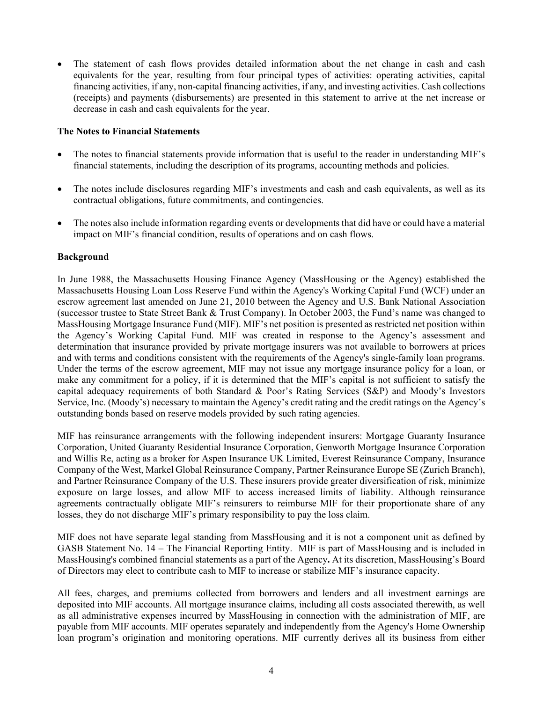• The statement of cash flows provides detailed information about the net change in cash and cash equivalents for the year, resulting from four principal types of activities: operating activities, capital financing activities, if any, non-capital financing activities, if any, and investing activities. Cash collections (receipts) and payments (disbursements) are presented in this statement to arrive at the net increase or decrease in cash and cash equivalents for the year.

# **The Notes to Financial Statements**

- The notes to financial statements provide information that is useful to the reader in understanding MIF's financial statements, including the description of its programs, accounting methods and policies.
- The notes include disclosures regarding MIF's investments and cash and cash equivalents, as well as its contractual obligations, future commitments, and contingencies.
- The notes also include information regarding events or developments that did have or could have a material impact on MIF's financial condition, results of operations and on cash flows.

# **Background**

In June 1988, the Massachusetts Housing Finance Agency (MassHousing or the Agency) established the Massachusetts Housing Loan Loss Reserve Fund within the Agency's Working Capital Fund (WCF) under an escrow agreement last amended on June 21, 2010 between the Agency and U.S. Bank National Association (successor trustee to State Street Bank & Trust Company). In October 2003, the Fund's name was changed to MassHousing Mortgage Insurance Fund (MIF). MIF's net position is presented as restricted net position within the Agency's Working Capital Fund. MIF was created in response to the Agency's assessment and determination that insurance provided by private mortgage insurers was not available to borrowers at prices and with terms and conditions consistent with the requirements of the Agency's single-family loan programs. Under the terms of the escrow agreement, MIF may not issue any mortgage insurance policy for a loan, or make any commitment for a policy, if it is determined that the MIF's capital is not sufficient to satisfy the capital adequacy requirements of both Standard & Poor's Rating Services (S&P) and Moody's Investors Service, Inc. (Moody's) necessary to maintain the Agency's credit rating and the credit ratings on the Agency's outstanding bonds based on reserve models provided by such rating agencies.

MIF has reinsurance arrangements with the following independent insurers: Mortgage Guaranty Insurance Corporation, United Guaranty Residential Insurance Corporation, Genworth Mortgage Insurance Corporation and Willis Re, acting as a broker for Aspen Insurance UK Limited, Everest Reinsurance Company, Insurance Company of the West, Markel Global Reinsurance Company, Partner Reinsurance Europe SE (Zurich Branch), and Partner Reinsurance Company of the U.S. These insurers provide greater diversification of risk, minimize exposure on large losses, and allow MIF to access increased limits of liability. Although reinsurance agreements contractually obligate MIF's reinsurers to reimburse MIF for their proportionate share of any losses, they do not discharge MIF's primary responsibility to pay the loss claim.

MIF does not have separate legal standing from MassHousing and it is not a component unit as defined by GASB Statement No. 14 – The Financial Reporting Entity. MIF is part of MassHousing and is included in MassHousing's combined financial statements as a part of the Agency**.** At its discretion, MassHousing's Board of Directors may elect to contribute cash to MIF to increase or stabilize MIF's insurance capacity.

All fees, charges, and premiums collected from borrowers and lenders and all investment earnings are deposited into MIF accounts. All mortgage insurance claims, including all costs associated therewith, as well as all administrative expenses incurred by MassHousing in connection with the administration of MIF, are payable from MIF accounts. MIF operates separately and independently from the Agency's Home Ownership loan program's origination and monitoring operations. MIF currently derives all its business from either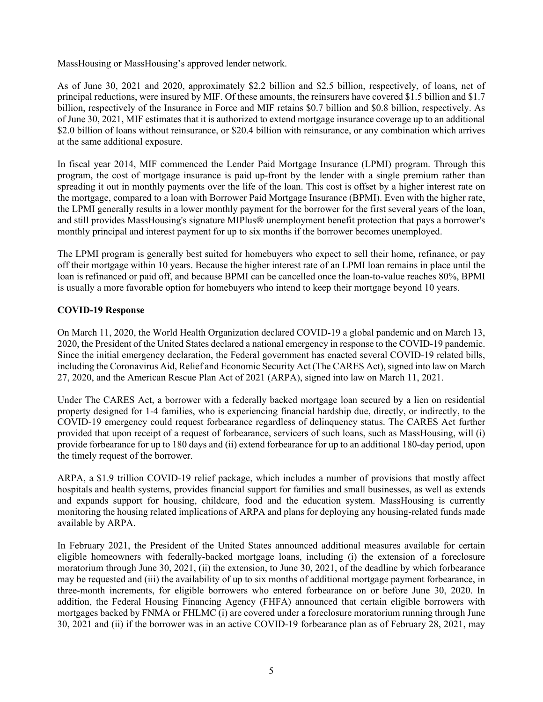MassHousing or MassHousing's approved lender network.

As of June 30, 2021 and 2020, approximately \$2.2 billion and \$2.5 billion, respectively, of loans, net of principal reductions, were insured by MIF. Of these amounts, the reinsurers have covered \$1.5 billion and \$1.7 billion, respectively of the Insurance in Force and MIF retains \$0.7 billion and \$0.8 billion, respectively. As of June 30, 2021, MIF estimates that it is authorized to extend mortgage insurance coverage up to an additional \$2.0 billion of loans without reinsurance, or \$20.4 billion with reinsurance, or any combination which arrives at the same additional exposure.

In fiscal year 2014, MIF commenced the Lender Paid Mortgage Insurance (LPMI) program. Through this program, the cost of mortgage insurance is paid up-front by the lender with a single premium rather than spreading it out in monthly payments over the life of the loan. This cost is offset by a higher interest rate on the mortgage, compared to a loan with Borrower Paid Mortgage Insurance (BPMI). Even with the higher rate, the LPMI generally results in a lower monthly payment for the borrower for the first several years of the loan, and still provides MassHousing's signature [MIPlus](http://www.masshousing.com/miplus)® unemployment benefit protection that pays a borrower's monthly principal and interest payment for up to six months if the borrower becomes unemployed.

The LPMI program is generally best suited for homebuyers who expect to sell their home, refinance, or pay off their mortgage within 10 years. Because the higher interest rate of an LPMI loan remains in place until the loan is refinanced or paid off, and because BPMI can be cancelled once the loan-to-value reaches 80%, BPMI is usually a more favorable option for homebuyers who intend to keep their mortgage beyond 10 years.

# **COVID-19 Response**

On March 11, 2020, the World Health Organization declared COVID-19 a global pandemic and on March 13, 2020, the President of the United States declared a national emergency in response to the COVID-19 pandemic. Since the initial emergency declaration, the Federal government has enacted several COVID-19 related bills, including the Coronavirus Aid, Relief and Economic Security Act (The CARES Act), signed into law on March 27, 2020, and the American Rescue Plan Act of 2021 (ARPA), signed into law on March 11, 2021.

Under The CARES Act, a borrower with a federally backed mortgage loan secured by a lien on residential property designed for 1-4 families, who is experiencing financial hardship due, directly, or indirectly, to the COVID-19 emergency could request forbearance regardless of delinquency status. The CARES Act further provided that upon receipt of a request of forbearance, servicers of such loans, such as MassHousing, will (i) provide forbearance for up to 180 days and (ii) extend forbearance for up to an additional 180-day period, upon the timely request of the borrower.

ARPA, a \$1.9 trillion COVID-19 relief package, which includes a number of provisions that mostly affect hospitals and health systems, provides financial support for families and small businesses, as well as extends and expands support for housing, childcare, food and the education system. MassHousing is currently monitoring the housing related implications of ARPA and plans for deploying any housing-related funds made available by ARPA.

In February 2021, the President of the United States announced additional measures available for certain eligible homeowners with federally-backed mortgage loans, including (i) the extension of a foreclosure moratorium through June 30, 2021, (ii) the extension, to June 30, 2021, of the deadline by which forbearance may be requested and (iii) the availability of up to six months of additional mortgage payment forbearance, in three-month increments, for eligible borrowers who entered forbearance on or before June 30, 2020. In addition, the Federal Housing Financing Agency (FHFA) announced that certain eligible borrowers with mortgages backed by FNMA or FHLMC (i) are covered under a foreclosure moratorium running through June 30, 2021 and (ii) if the borrower was in an active COVID-19 forbearance plan as of February 28, 2021, may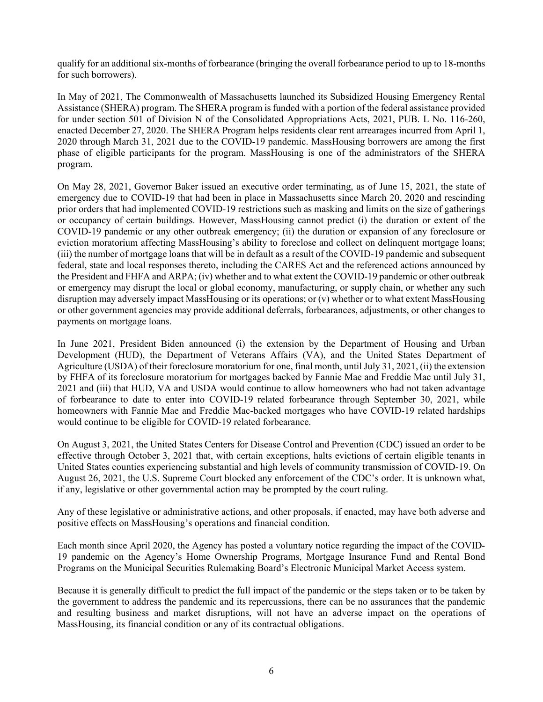qualify for an additional six-months of forbearance (bringing the overall forbearance period to up to 18-months for such borrowers).

In May of 2021, The Commonwealth of Massachusetts launched its Subsidized Housing Emergency Rental Assistance (SHERA) program. The SHERA program is funded with a portion of the federal assistance provided for under section 501 of Division N of the Consolidated Appropriations Acts, 2021, PUB. L No. 116-260, enacted December 27, 2020. The SHERA Program helps residents clear rent arrearages incurred from April 1, 2020 through March 31, 2021 due to the COVID-19 pandemic. MassHousing borrowers are among the first phase of eligible participants for the program. MassHousing is one of the administrators of the SHERA program.

On May 28, 2021, Governor Baker issued an executive order terminating, as of June 15, 2021, the state of emergency due to COVID-19 that had been in place in Massachusetts since March 20, 2020 and rescinding prior orders that had implemented COVID-19 restrictions such as masking and limits on the size of gatherings or occupancy of certain buildings. However, MassHousing cannot predict (i) the duration or extent of the COVID-19 pandemic or any other outbreak emergency; (ii) the duration or expansion of any foreclosure or eviction moratorium affecting MassHousing's ability to foreclose and collect on delinquent mortgage loans; (iii) the number of mortgage loans that will be in default as a result of the COVID-19 pandemic and subsequent federal, state and local responses thereto, including the CARES Act and the referenced actions announced by the President and FHFA and ARPA; (iv) whether and to what extent the COVID-19 pandemic or other outbreak or emergency may disrupt the local or global economy, manufacturing, or supply chain, or whether any such disruption may adversely impact MassHousing or its operations; or (v) whether or to what extent MassHousing or other government agencies may provide additional deferrals, forbearances, adjustments, or other changes to payments on mortgage loans.

In June 2021, President Biden announced (i) the extension by the Department of Housing and Urban Development (HUD), the Department of Veterans Affairs (VA), and the United States Department of Agriculture (USDA) of their foreclosure moratorium for one, final month, until July 31, 2021, (ii) the extension by FHFA of its foreclosure moratorium for mortgages backed by Fannie Mae and Freddie Mac until July 31, 2021 and (iii) that HUD, VA and USDA would continue to allow homeowners who had not taken advantage of forbearance to date to enter into COVID-19 related forbearance through September 30, 2021, while homeowners with Fannie Mae and Freddie Mac-backed mortgages who have COVID-19 related hardships would continue to be eligible for COVID-19 related forbearance.

On August 3, 2021, the United States Centers for Disease Control and Prevention (CDC) issued an order to be effective through October 3, 2021 that, with certain exceptions, halts evictions of certain eligible tenants in United States counties experiencing substantial and high levels of community transmission of COVID-19. On August 26, 2021, the U.S. Supreme Court blocked any enforcement of the CDC's order. It is unknown what, if any, legislative or other governmental action may be prompted by the court ruling.

Any of these legislative or administrative actions, and other proposals, if enacted, may have both adverse and positive effects on MassHousing's operations and financial condition.

Each month since April 2020, the Agency has posted a voluntary notice regarding the impact of the COVID-19 pandemic on the Agency's Home Ownership Programs, Mortgage Insurance Fund and Rental Bond Programs on the Municipal Securities Rulemaking Board's Electronic Municipal Market Access system.

Because it is generally difficult to predict the full impact of the pandemic or the steps taken or to be taken by the government to address the pandemic and its repercussions, there can be no assurances that the pandemic and resulting business and market disruptions, will not have an adverse impact on the operations of MassHousing, its financial condition or any of its contractual obligations.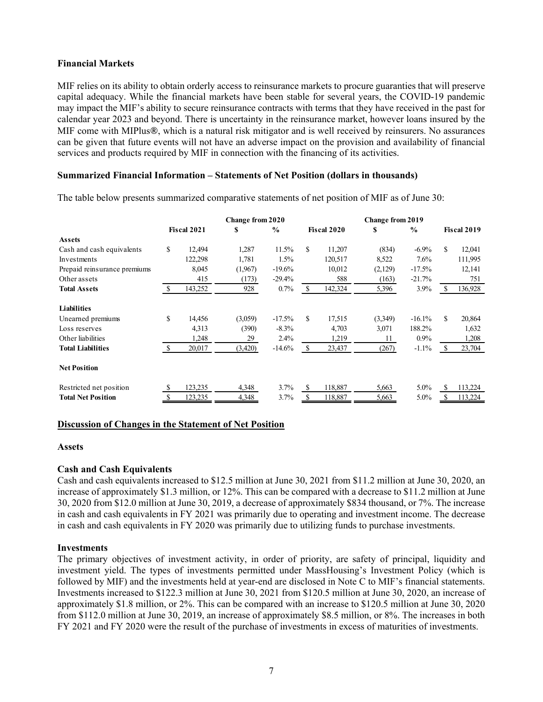# **Financial Markets**

MIF relies on its ability to obtain orderly access to reinsurance markets to procure guaranties that will preserve capital adequacy. While the financial markets have been stable for several years, the COVID-19 pandemic may impact the MIF's ability to secure reinsurance contracts with terms that they have received in the past for calendar year 2023 and beyond. There is uncertainty in the reinsurance market, however loans insured by the MIF come with MIPlus®, which is a natural risk mitigator and is well received by reinsurers. No assurances can be given that future events will not have an adverse impact on the provision and availability of financial services and products required by MIF in connection with the financing of its activities.

# **Summarized Financial Information – Statements of Net Position (dollars in thousands)**

|                              |               |                    | <b>Change from 2020</b> |               |    |                    | <b>Change from 2019</b> |               |              |                    |
|------------------------------|---------------|--------------------|-------------------------|---------------|----|--------------------|-------------------------|---------------|--------------|--------------------|
|                              |               | <b>Fiscal 2021</b> | \$                      | $\frac{0}{0}$ |    | <b>Fiscal 2020</b> | \$                      | $\frac{0}{0}$ |              | <b>Fiscal 2019</b> |
| <b>Assets</b>                |               |                    |                         |               |    |                    |                         |               |              |                    |
| Cash and cash equivalents    | \$            | 12,494             | 1,287                   | 11.5%         | \$ | 11,207             | (834)                   | $-6.9\%$      | \$           | 12,041             |
| Investments                  |               | 122,298            | 1,781                   | 1.5%          |    | 120,517            | 8,522                   | 7.6%          |              | 111,995            |
| Prepaid reinsurance premiums |               | 8,045              | (1,967)                 | $-19.6%$      |    | 10,012             | (2,129)                 | $-17.5%$      |              | 12,141             |
| Other assets                 |               | 415                | (173)                   | $-29.4%$      |    | 588                | (163)                   | $-21.7%$      |              | 751                |
| <b>Total Assets</b>          | <sup>\$</sup> | 143,252            | 928                     | 0.7%          | -S | 142,324            | 5,396                   | 3.9%          | <sup>S</sup> | 136,928            |
| Liabilities                  |               |                    |                         |               |    |                    |                         |               |              |                    |
| Unearned premiums            | \$            | 14,456             | (3,059)                 | $-17.5%$      | S. | 17,515             | (3,349)                 | $-16.1%$      | \$           | 20,864             |
| Loss reserves                |               | 4,313              | (390)                   | $-8.3\%$      |    | 4,703              | 3,071                   | 188.2%        |              | 1,632              |
| Other liabilities            |               | 1,248              | 29                      | 2.4%          |    | 1,219              | 11                      | 0.9%          |              | 1,208              |
| <b>Total Liabilities</b>     | -S            | 20,017             | (3,420)                 | $-14.6%$      | -S | 23,437             | (267)                   | $-1.1\%$      | -S           | 23,704             |
| <b>Net Position</b>          |               |                    |                         |               |    |                    |                         |               |              |                    |
| Restricted net position      |               | 123,235            | 4,348                   | 3.7%          |    | 118,887            | 5,663                   | 5.0%          |              | 113,224            |
| <b>Total Net Position</b>    | S             | 123,235            | 4,348                   | 3.7%          |    | 118,887            | 5,663                   | 5.0%          |              | 113,224            |

The table below presents summarized comparative statements of net position of MIF as of June 30:

# **Discussion of Changes in the Statement of Net Position**

#### **Assets**

# **Cash and Cash Equivalents**

Cash and cash equivalents increased to \$12.5 million at June 30, 2021 from \$11.2 million at June 30, 2020, an increase of approximately \$1.3 million, or 12%. This can be compared with a decrease to \$11.2 million at June 30, 2020 from \$12.0 million at June 30, 2019, a decrease of approximately \$834 thousand, or 7%. The increase in cash and cash equivalents in FY 2021 was primarily due to operating and investment income. The decrease in cash and cash equivalents in FY 2020 was primarily due to utilizing funds to purchase investments.

#### **Investments**

The primary objectives of investment activity, in order of priority, are safety of principal, liquidity and investment yield. The types of investments permitted under MassHousing's Investment Policy (which is followed by MIF) and the investments held at year-end are disclosed in Note C to MIF's financial statements. Investments increased to \$122.3 million at June 30, 2021 from \$120.5 million at June 30, 2020, an increase of approximately \$1.8 million, or 2%. This can be compared with an increase to \$120.5 million at June 30, 2020 from \$112.0 million at June 30, 2019, an increase of approximately \$8.5 million, or 8%. The increases in both FY 2021 and FY 2020 were the result of the purchase of investments in excess of maturities of investments.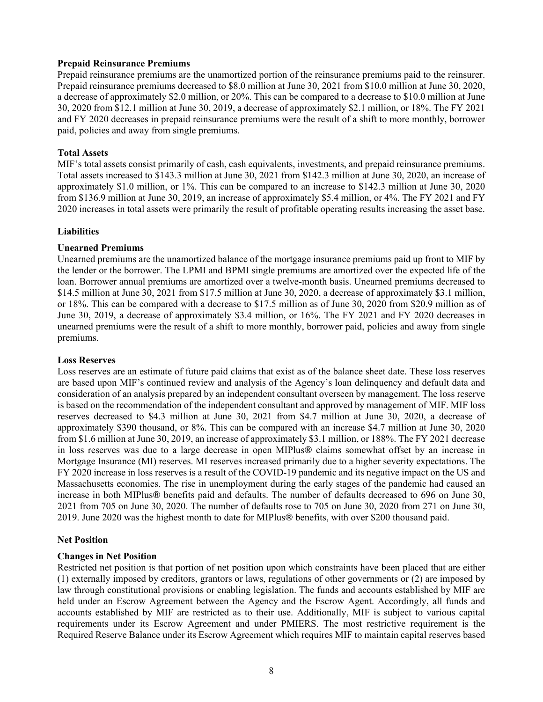# **Prepaid Reinsurance Premiums**

Prepaid reinsurance premiums are the unamortized portion of the reinsurance premiums paid to the reinsurer. Prepaid reinsurance premiums decreased to \$8.0 million at June 30, 2021 from \$10.0 million at June 30, 2020, a decrease of approximately \$2.0 million, or 20%. This can be compared to a decrease to \$10.0 million at June 30, 2020 from \$12.1 million at June 30, 2019, a decrease of approximately \$2.1 million, or 18%. The FY 2021 and FY 2020 decreases in prepaid reinsurance premiums were the result of a shift to more monthly, borrower paid, policies and away from single premiums.

# **Total Assets**

MIF's total assets consist primarily of cash, cash equivalents, investments, and prepaid reinsurance premiums. Total assets increased to \$143.3 million at June 30, 2021 from \$142.3 million at June 30, 2020, an increase of approximately \$1.0 million, or 1%. This can be compared to an increase to \$142.3 million at June 30, 2020 from \$136.9 million at June 30, 2019, an increase of approximately \$5.4 million, or 4%. The FY 2021 and FY 2020 increases in total assets were primarily the result of profitable operating results increasing the asset base.

# **Liabilities**

### **Unearned Premiums**

Unearned premiums are the unamortized balance of the mortgage insurance premiums paid up front to MIF by the lender or the borrower. The LPMI and BPMI single premiums are amortized over the expected life of the loan. Borrower annual premiums are amortized over a twelve-month basis. Unearned premiums decreased to \$14.5 million at June 30, 2021 from \$17.5 million at June 30, 2020, a decrease of approximately \$3.1 million, or 18%. This can be compared with a decrease to \$17.5 million as of June 30, 2020 from \$20.9 million as of June 30, 2019, a decrease of approximately \$3.4 million, or 16%. The FY 2021 and FY 2020 decreases in unearned premiums were the result of a shift to more monthly, borrower paid, policies and away from single premiums.

#### **Loss Reserves**

Loss reserves are an estimate of future paid claims that exist as of the balance sheet date. These loss reserves are based upon MIF's continued review and analysis of the Agency's loan delinquency and default data and consideration of an analysis prepared by an independent consultant overseen by management. The loss reserve is based on the recommendation of the independent consultant and approved by management of MIF. MIF loss reserves decreased to \$4.3 million at June 30, 2021 from \$4.7 million at June 30, 2020, a decrease of approximately \$390 thousand, or 8%. This can be compared with an increase \$4.7 million at June 30, 2020 from \$1.6 million at June 30, 2019, an increase of approximately \$3.1 million, or 188%. The FY 2021 decrease in loss reserves was due to a large decrease in open MIPlus® claims somewhat offset by an increase in Mortgage Insurance (MI) reserves. MI reserves increased primarily due to a higher severity expectations. The FY 2020 increase in loss reserves is a result of the COVID-19 pandemic and its negative impact on the US and Massachusetts economies. The rise in unemployment during the early stages of the pandemic had caused an increase in both MIPlus® benefits paid and defaults. The number of defaults decreased to 696 on June 30, 2021 from 705 on June 30, 2020. The number of defaults rose to 705 on June 30, 2020 from 271 on June 30, 2019. June 2020 was the highest month to date for MIPlus® benefits, with over \$200 thousand paid.

# **Net Position**

# **Changes in Net Position**

Restricted net position is that portion of net position upon which constraints have been placed that are either (1) externally imposed by creditors, grantors or laws, regulations of other governments or (2) are imposed by law through constitutional provisions or enabling legislation. The funds and accounts established by MIF are held under an Escrow Agreement between the Agency and the Escrow Agent. Accordingly, all funds and accounts established by MIF are restricted as to their use. Additionally, MIF is subject to various capital requirements under its Escrow Agreement and under PMIERS. The most restrictive requirement is the Required Reserve Balance under its Escrow Agreement which requires MIF to maintain capital reserves based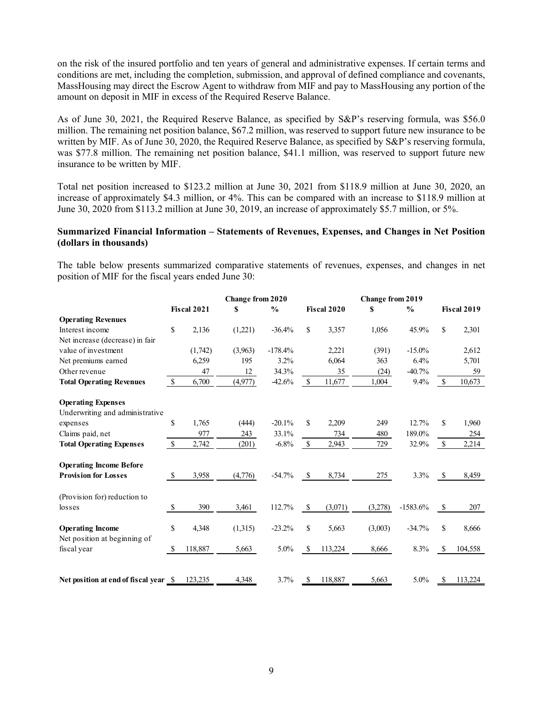on the risk of the insured portfolio and ten years of general and administrative expenses. If certain terms and conditions are met, including the completion, submission, and approval of defined compliance and covenants, MassHousing may direct the Escrow Agent to withdraw from MIF and pay to MassHousing any portion of the amount on deposit in MIF in excess of the Required Reserve Balance.

As of June 30, 2021, the Required Reserve Balance, as specified by S&P's reserving formula, was \$56.0 million. The remaining net position balance, \$67.2 million, was reserved to support future new insurance to be written by MIF. As of June 30, 2020, the Required Reserve Balance, as specified by S&P's reserving formula, was \$77.8 million. The remaining net position balance, \$41.1 million, was reserved to support future new insurance to be written by MIF.

Total net position increased to \$123.2 million at June 30, 2021 from \$118.9 million at June 30, 2020, an increase of approximately \$4.3 million, or 4%. This can be compared with an increase to \$118.9 million at June 30, 2020 from \$113.2 million at June 30, 2019, an increase of approximately \$5.7 million, or 5%.

# **Summarized Financial Information – Statements of Revenues, Expenses, and Changes in Net Position (dollars in thousands)**

The table below presents summarized comparative statements of revenues, expenses, and changes in net position of MIF for the fiscal years ended June 30:

|                                              | Change from 2020 |                    |         |               |               |             |         |               |              |                    |
|----------------------------------------------|------------------|--------------------|---------|---------------|---------------|-------------|---------|---------------|--------------|--------------------|
|                                              |                  | <b>Fiscal 2021</b> | S       | $\frac{0}{0}$ |               | Fiscal 2020 | S       | $\frac{0}{0}$ |              | <b>Fiscal 2019</b> |
| <b>Operating Revenues</b>                    |                  |                    |         |               |               |             |         |               |              |                    |
| Interest income                              | \$               | 2,136              | (1,221) | $-36.4%$      | S.            | 3,357       | 1,056   | 45.9%         | \$           | 2,301              |
| Net increase (decrease) in fair              |                  |                    |         |               |               |             |         |               |              |                    |
| value of investment                          |                  | (1,742)            | (3,963) | $-178.4%$     |               | 2,221       | (391)   | $-15.0\%$     |              | 2,612              |
| Net premiums earned                          |                  | 6,259              | 195     | 3.2%          |               | 6,064       | 363     | 6.4%          |              | 5,701              |
| Other revenue                                |                  | 47                 | 12      | 34.3%         |               | 35          | (24)    | $-40.7%$      |              | 59                 |
| <b>Total Operating Revenues</b>              | $\mathbf S$      | 6,700              | (4,977) | $-42.6%$      | <sup>\$</sup> | 11,677      | 1,004   | 9.4%          | <sup>S</sup> | 10,673             |
| <b>Operating Expenses</b>                    |                  |                    |         |               |               |             |         |               |              |                    |
| Underwriting and administrative              |                  |                    |         |               |               |             |         |               |              |                    |
| expenses                                     | \$               | 1,765              | (444)   | $-20.1%$      | \$            | 2,209       | 249     | 12.7%         | \$           | 1,960              |
| Claims paid, net                             |                  | 977                | 243     | 33.1%         |               | 734         | 480     | 189.0%        |              | 254                |
| <b>Total Operating Expenses</b>              | $\mathbb{S}$     | 2,742              | (201)   | $-6.8%$       | $\mathbb{S}$  | 2,943       | 729     | 32.9%         | $\mathbb{S}$ | 2,214              |
| <b>Operating Income Before</b>               |                  |                    |         |               |               |             |         |               |              |                    |
| <b>Provision for Losses</b>                  | - \$             | 3,958              | (4,776) | $-54.7%$      | - \$          | 8,734       | 275     | 3.3%          | \$           | 8,459              |
| (Provision for) reduction to                 |                  |                    |         |               |               |             |         |               |              |                    |
| losses                                       | -S               | 390                | 3,461   | 112.7%        | \$            | (3,071)     | (3,278) | $-1583.6%$    | \$           | 207                |
| <b>Operating Income</b>                      | \$               | 4,348              | (1,315) | $-23.2%$      | \$            | 5,663       | (3,003) | $-34.7%$      | \$           | 8,666              |
| Net position at beginning of                 |                  |                    |         |               |               |             |         |               |              |                    |
| fiscal year                                  | -S               | 118,887            | 5,663   | 5.0%          | <sup>\$</sup> | 113,224     | 8,666   | 8.3%          | \$           | 104,558            |
|                                              |                  |                    |         |               |               |             |         |               |              |                    |
| Net position at end of fiscal year <u>\$</u> |                  | 123,235            | 4,348   | 3.7%          | -S            | 118,887     | 5,663   | 5.0%          | S            | 113,224            |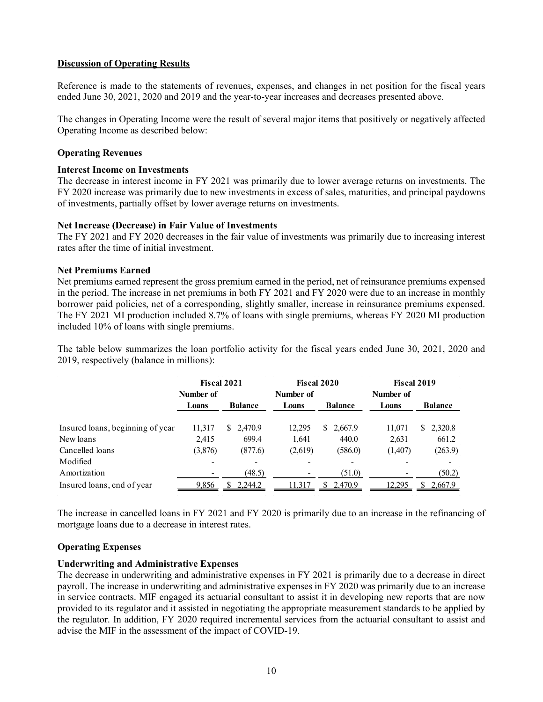# **Discussion of Operating Results**

Reference is made to the statements of revenues, expenses, and changes in net position for the fiscal years ended June 30, 2021, 2020 and 2019 and the year-to-year increases and decreases presented above.

The changes in Operating Income were the result of several major items that positively or negatively affected Operating Income as described below:

# **Operating Revenues**

#### **Interest Income on Investments**

The decrease in interest income in FY 2021 was primarily due to lower average returns on investments. The FY 2020 increase was primarily due to new investments in excess of sales, maturities, and principal paydowns of investments, partially offset by lower average returns on investments.

### **Net Increase (Decrease) in Fair Value of Investments**

The FY 2021 and FY 2020 decreases in the fair value of investments was primarily due to increasing interest rates after the time of initial investment.

### **Net Premiums Earned**

Net premiums earned represent the gross premium earned in the period, net of reinsurance premiums expensed in the period. The increase in net premiums in both FY 2021 and FY 2020 were due to an increase in monthly borrower paid policies, net of a corresponding, slightly smaller, increase in reinsurance premiums expensed. The FY 2021 MI production included 8.7% of loans with single premiums, whereas FY 2020 MI production included 10% of loans with single premiums.

The table below summarizes the loan portfolio activity for the fiscal years ended June 30, 2021, 2020 and 2019, respectively (balance in millions):

|                                  |           | <b>Fiscal 2021</b> | <b>Fiscal 2020</b> |                | <b>Fiscal 2019</b> |                |  |
|----------------------------------|-----------|--------------------|--------------------|----------------|--------------------|----------------|--|
|                                  | Number of |                    | Number of          |                | Number of          |                |  |
|                                  | Loans     | <b>Balance</b>     | Loans              | <b>Balance</b> | Loans              | <b>Balance</b> |  |
| Insured loans, beginning of year | 11,317    | 2,470.9<br>S.      | 12,295             | 2,667.9<br>S.  | 11,071             | 2,320.8<br>S.  |  |
| New loans                        | 2,415     | 699.4              | 1.641              | 440.0          | 2,631              | 661.2          |  |
| Cancelled loans                  | (3,876)   | (877.6)            | (2,619)            | (586.0)        | (1,407)            | (263.9)        |  |
| Modified                         |           |                    |                    |                |                    |                |  |
| Amortization                     |           | (48.5)             |                    | (51.0)         |                    | (50.2)         |  |
| Insured loans, end of year       | 9,856     | 2.244.2            | 11.317             | 2,470.9        | 12.295             | 2,667.9        |  |

The increase in cancelled loans in FY 2021 and FY 2020 is primarily due to an increase in the refinancing of mortgage loans due to a decrease in interest rates.

# **Operating Expenses**

# **Underwriting and Administrative Expenses**

The decrease in underwriting and administrative expenses in FY 2021 is primarily due to a decrease in direct payroll. The increase in underwriting and administrative expenses in FY 2020 was primarily due to an increase in service contracts. MIF engaged its actuarial consultant to assist it in developing new reports that are now provided to its regulator and it assisted in negotiating the appropriate measurement standards to be applied by the regulator. In addition, FY 2020 required incremental services from the actuarial consultant to assist and advise the MIF in the assessment of the impact of COVID-19.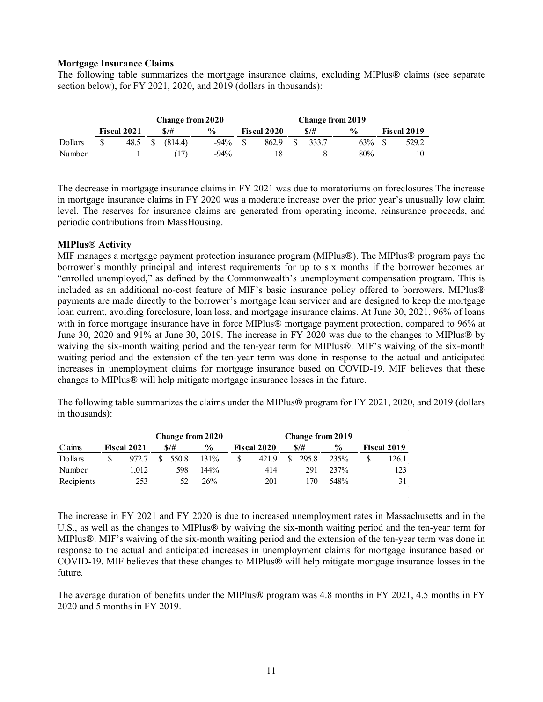### **Mortgage Insurance Claims**

The following table summarizes the mortgage insurance claims, excluding MIPlus® claims (see separate section below), for FY 2021, 2020, and 2019 (dollars in thousands):

|         |                    | <b>Change from 2020</b> |         |                |    |                    | <b>Change from 2019</b> |        |               |  |                    |  |  |
|---------|--------------------|-------------------------|---------|----------------|----|--------------------|-------------------------|--------|---------------|--|--------------------|--|--|
|         | <b>Fiscal 2021</b> |                         | \$/#    | $\frac{6}{10}$ |    | <b>Fiscal 2020</b> |                         | $$/\#$ | $\frac{6}{9}$ |  | <b>Fiscal 2019</b> |  |  |
| Dollars | 48.5               | <sup>S</sup>            | (814.4) | $-94\%$        | -S | 862.9              | \$.                     | 333.7  | $63\%$ \$     |  | 529.2              |  |  |
| Number  |                    |                         | (17)    | $-94\%$        |    |                    |                         |        | 80%           |  | 10                 |  |  |

The decrease in mortgage insurance claims in FY 2021 was due to moratoriums on foreclosures The increase in mortgage insurance claims in FY 2020 was a moderate increase over the prior year's unusually low claim level. The reserves for insurance claims are generated from operating income, reinsurance proceeds, and periodic contributions from MassHousing.

# **MIPlus**® **Activity**

MIF manages a mortgage payment protection insurance program (MIPlus®). The MIPlus® program pays the borrower's monthly principal and interest requirements for up to six months if the borrower becomes an "enrolled unemployed," as defined by the Commonwealth's unemployment compensation program. This is included as an additional no-cost feature of MIF's basic insurance policy offered to borrowers. MIPlus® payments are made directly to the borrower's mortgage loan servicer and are designed to keep the mortgage loan current, avoiding foreclosure, loan loss, and mortgage insurance claims. At June 30, 2021, 96% of loans with in force mortgage insurance have in force MIPlus® mortgage payment protection, compared to 96% at June 30, 2020 and 91% at June 30, 2019. The increase in FY 2020 was due to the changes to MIPlus® by waiving the six-month waiting period and the ten-year term for MIPlus®. MIF's waiving of the six-month waiting period and the extension of the ten-year term was done in response to the actual and anticipated increases in unemployment claims for mortgage insurance based on COVID-19. MIF believes that these changes to MIPlus® will help mitigate mortgage insurance losses in the future.

The following table summarizes the claims under the MIPlus® program for FY 2021, 2020, and 2019 (dollars in thousands):

|            |                    | <b>Change from 2020</b><br><b>Change from 2019</b> |                |  |                    |  |       |               |  |                    |  |  |
|------------|--------------------|----------------------------------------------------|----------------|--|--------------------|--|-------|---------------|--|--------------------|--|--|
| Claims     | <b>Fiscal 2021</b> | $$/\#$                                             | $\frac{6}{10}$ |  | <b>Fiscal 2020</b> |  | \$/#  | $\frac{0}{0}$ |  | <b>Fiscal 2019</b> |  |  |
| Dollars    | 972.7              | 550.8                                              | 131%           |  | 421.9              |  | 295.8 | 235%          |  | 126.1              |  |  |
| Number     | 1.012              | 598                                                | 144%           |  | 414                |  | 291   | 237%          |  | 123                |  |  |
| Recipients | 253                | 52                                                 | 26%            |  | 201                |  | 170   | 548%          |  |                    |  |  |

The increase in FY 2021 and FY 2020 is due to increased unemployment rates in Massachusetts and in the U.S., as well as the changes to MIPlus® by waiving the six-month waiting period and the ten-year term for MIPlus®. MIF's waiving of the six-month waiting period and the extension of the ten-year term was done in response to the actual and anticipated increases in unemployment claims for mortgage insurance based on COVID-19. MIF believes that these changes to MIPlus® will help mitigate mortgage insurance losses in the future.

The average duration of benefits under the MIPlus® program was 4.8 months in FY 2021, 4.5 months in FY 2020 and 5 months in FY 2019.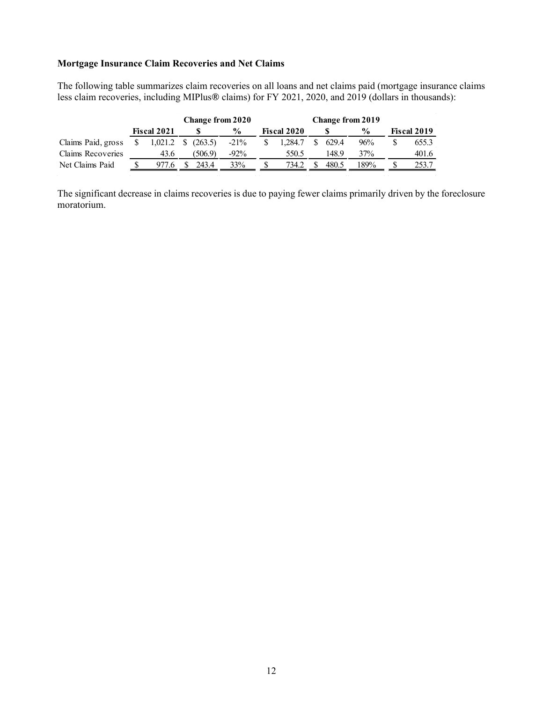# **Mortgage Insurance Claim Recoveries and Net Claims**

The following table summarizes claim recoveries on all loans and net claims paid (mortgage insurance claims less claim recoveries, including MIPlus® claims) for FY 2021, 2020, and 2019 (dollars in thousands):

|                    |                    | <b>Change from 2020</b> |         |               |  |                    |       |               |                    |
|--------------------|--------------------|-------------------------|---------|---------------|--|--------------------|-------|---------------|--------------------|
|                    | <b>Fiscal 2021</b> |                         |         | $\frac{0}{0}$ |  | <b>Fiscal 2020</b> |       | $\frac{0}{0}$ | <b>Fiscal 2019</b> |
| Claims Paid, gross | 1,021.2            | S.                      | (263.5) | $-21\%$       |  | 1.284.7            | 629.4 | 96%           | 655.3              |
| Claims Recoveries  | 43.6               |                         | (506.9) | $-92\%$       |  | 550.5              | 148.9 | 37%           | 401.6              |
| Net Claims Paid    |                    |                         | 243.4   | 33%           |  | 734.2              | 480.5 | 189%          | 253.               |

The significant decrease in claims recoveries is due to paying fewer claims primarily driven by the foreclosure moratorium.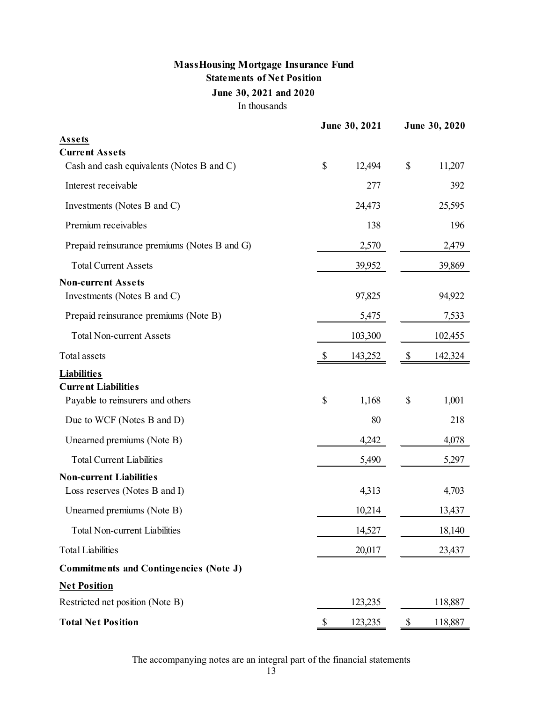# **MassHousing Mortgage Insurance Fund Statements of Net Position** In thousands **June 30, 2021 and 2020**

|                                               | June 30, 2021 | June 30, 2020 |
|-----------------------------------------------|---------------|---------------|
| <b>Assets</b>                                 |               |               |
| <b>Current Assets</b>                         | $\mathbb{S}$  |               |
| Cash and cash equivalents (Notes B and C)     | 12,494        | \$<br>11,207  |
| Interest receivable                           | 277           | 392           |
| Investments (Notes B and C)                   | 24,473        | 25,595        |
| Premium receivables                           | 138           | 196           |
| Prepaid reinsurance premiums (Notes B and G)  | 2,570         | 2,479         |
| <b>Total Current Assets</b>                   | 39,952        | 39,869        |
| <b>Non-current Assets</b>                     |               |               |
| Investments (Notes B and C)                   | 97,825        | 94,922        |
| Prepaid reinsurance premiums (Note B)         | 5,475         | 7,533         |
| <b>Total Non-current Assets</b>               | 103,300       | 102,455       |
| Total assets                                  | \$<br>143,252 | \$<br>142,324 |
| <b>Liabilities</b>                            |               |               |
| <b>Current Liabilities</b>                    |               |               |
| Payable to reinsurers and others              | \$<br>1,168   | \$<br>1,001   |
| Due to WCF (Notes B and D)                    | 80            | 218           |
| Unearned premiums (Note B)                    | 4,242         | 4,078         |
| <b>Total Current Liabilities</b>              | 5,490         | 5,297         |
| <b>Non-current Liabilities</b>                |               |               |
| Loss reserves (Notes B and I)                 | 4,313         | 4,703         |
| Unearned premiums (Note B)                    | 10,214        | 13,437        |
| <b>Total Non-current Liabilities</b>          | 14,527        | 18,140        |
| <b>Total Liabilities</b>                      | 20,017        | 23,437        |
| <b>Commitments and Contingencies (Note J)</b> |               |               |
| <b>Net Position</b>                           |               |               |
| Restricted net position (Note B)              | 123,235       | 118,887       |
| <b>Total Net Position</b>                     | \$<br>123,235 | \$<br>118,887 |

The accompanying notes are an integral part of the financial statements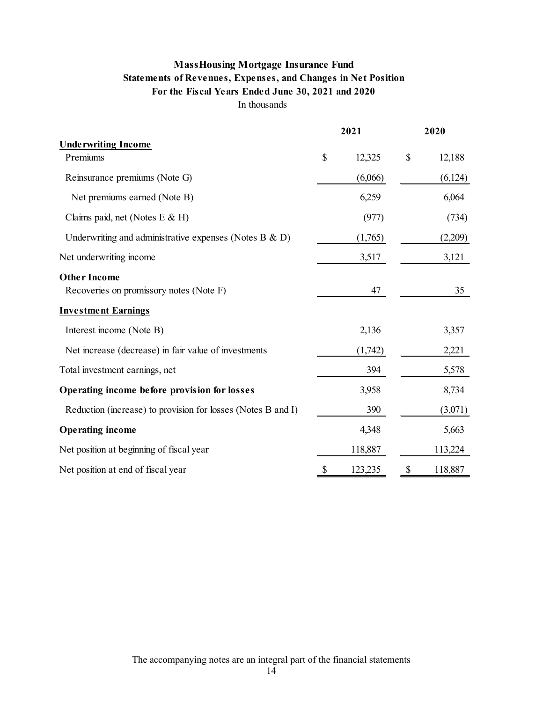# **MassHousing Mortgage Insurance Fund Statements of Revenues, Expenses, and Changes in Net Position** In thousands **For the Fiscal Years Ended June 30, 2021 and 2020**

|                                                              | 2021          | 2020 |         |  |
|--------------------------------------------------------------|---------------|------|---------|--|
| <b>Underwriting Income</b><br>Premiums                       | \$<br>12,325  | \$   | 12,188  |  |
|                                                              |               |      |         |  |
| Reinsurance premiums (Note G)                                | (6,066)       |      | (6,124) |  |
| Net premiums earned (Note B)                                 | 6,259         |      | 6,064   |  |
| Claims paid, net (Notes E & H)                               | (977)         |      | (734)   |  |
| Underwriting and administrative expenses (Notes B $\&$ D)    | (1,765)       |      | (2,209) |  |
| Net underwriting income                                      | 3,517         |      | 3,121   |  |
| <b>Other Income</b>                                          |               |      |         |  |
| Recoveries on promissory notes (Note F)                      | 47            |      | 35      |  |
| <b>Investment Earnings</b>                                   |               |      |         |  |
| Interest income (Note B)                                     | 2,136         |      | 3,357   |  |
| Net increase (decrease) in fair value of investments         | (1,742)       |      | 2,221   |  |
| Total investment earnings, net                               | 394           |      | 5,578   |  |
| Operating income before provision for losses                 | 3,958         |      | 8,734   |  |
| Reduction (increase) to provision for losses (Notes B and I) | 390           |      | (3,071) |  |
| <b>Operating income</b>                                      | 4,348         |      | 5,663   |  |
| Net position at beginning of fiscal year                     | 118,887       |      | 113,224 |  |
| Net position at end of fiscal year                           | \$<br>123,235 | \$   | 118,887 |  |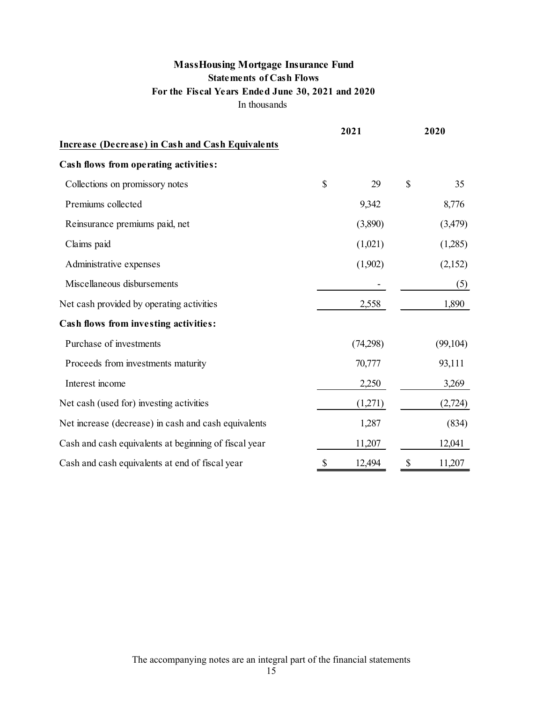# **MassHousing Mortgage Insurance Fund Statements of Cash Flows** In thousands **For the Fiscal Years Ended June 30, 2021 and 2020**

|                                                         | 2021         | 2020         |
|---------------------------------------------------------|--------------|--------------|
| <b>Increase (Decrease) in Cash and Cash Equivalents</b> |              |              |
| Cash flows from operating activities:                   |              |              |
| Collections on promissory notes                         | \$<br>29     | \$<br>35     |
| Premiums collected                                      | 9,342        | 8,776        |
| Reinsurance premiums paid, net                          | (3,890)      | (3,479)      |
| Claims paid                                             | (1,021)      | (1,285)      |
| Administrative expenses                                 | (1,902)      | (2,152)      |
| Miscellaneous disbursements                             |              | (5)          |
| Net cash provided by operating activities               | 2,558        | 1,890        |
| Cash flows from investing activities:                   |              |              |
| Purchase of investments                                 | (74,298)     | (99, 104)    |
| Proceeds from investments maturity                      | 70,777       | 93,111       |
| Interest income                                         | 2,250        | 3,269        |
| Net cash (used for) investing activities                | (1,271)      | (2,724)      |
| Net increase (decrease) in cash and cash equivalents    | 1,287        | (834)        |
| Cash and cash equivalents at beginning of fiscal year   | 11,207       | 12,041       |
| Cash and cash equivalents at end of fiscal year         | \$<br>12,494 | \$<br>11,207 |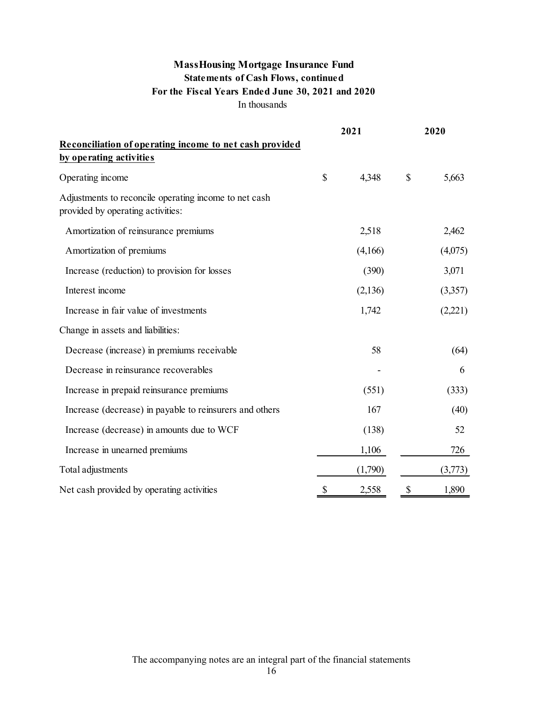# **MassHousing Mortgage Insurance Fund Statements of Cash Flows, continued For the Fiscal Years Ended June 30, 2021 and 2020** In thousands

|                                                                                            | 2021        | 2020          |         |  |
|--------------------------------------------------------------------------------------------|-------------|---------------|---------|--|
| Reconciliation of operating income to net cash provided<br>by operating activities         |             |               |         |  |
| Operating income                                                                           | \$<br>4,348 | $\mathcal{S}$ | 5,663   |  |
| Adjustments to reconcile operating income to net cash<br>provided by operating activities: |             |               |         |  |
| Amortization of reinsurance premiums                                                       | 2,518       |               | 2,462   |  |
| Amortization of premiums                                                                   | (4,166)     |               | (4,075) |  |
| Increase (reduction) to provision for losses                                               | (390)       |               | 3,071   |  |
| Interest income                                                                            | (2,136)     |               | (3,357) |  |
| Increase in fair value of investments                                                      | 1,742       |               | (2,221) |  |
| Change in assets and liabilities:                                                          |             |               |         |  |
| Decrease (increase) in premiums receivable                                                 | 58          |               | (64)    |  |
| Decrease in reinsurance recoverables                                                       |             |               | 6       |  |
| Increase in prepaid reinsurance premiums                                                   | (551)       |               | (333)   |  |
| Increase (decrease) in payable to reinsurers and others                                    | 167         |               | (40)    |  |
| Increase (decrease) in amounts due to WCF                                                  | (138)       |               | 52      |  |
| Increase in unearned premiums                                                              | 1,106       |               | 726     |  |
| Total adjustments                                                                          | (1,790)     |               | (3,773) |  |
| Net cash provided by operating activities                                                  | \$<br>2,558 | \$            | 1,890   |  |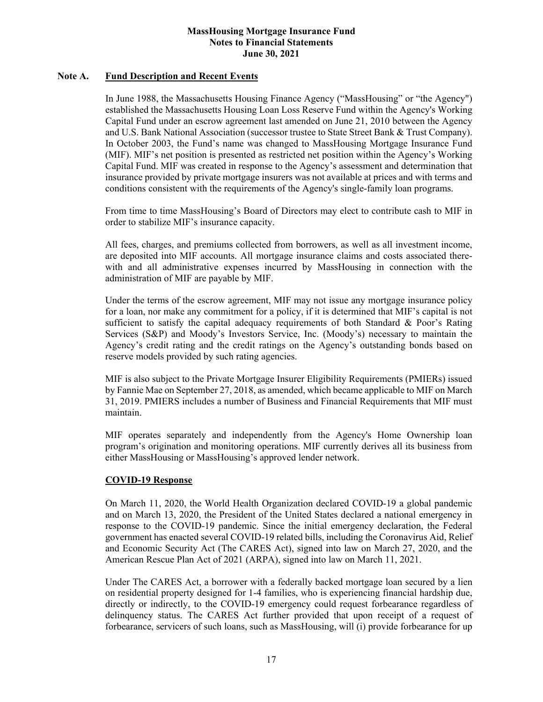### **Note A. Fund Description and Recent Events**

In June 1988, the Massachusetts Housing Finance Agency ("MassHousing" or "the Agency") established the Massachusetts Housing Loan Loss Reserve Fund within the Agency's Working Capital Fund under an escrow agreement last amended on June 21, 2010 between the Agency and U.S. Bank National Association (successor trustee to State Street Bank & Trust Company). In October 2003, the Fund's name was changed to MassHousing Mortgage Insurance Fund (MIF). MIF's net position is presented as restricted net position within the Agency's Working Capital Fund. MIF was created in response to the Agency's assessment and determination that insurance provided by private mortgage insurers was not available at prices and with terms and conditions consistent with the requirements of the Agency's single-family loan programs.

From time to time MassHousing's Board of Directors may elect to contribute cash to MIF in order to stabilize MIF's insurance capacity.

All fees, charges, and premiums collected from borrowers, as well as all investment income, are deposited into MIF accounts. All mortgage insurance claims and costs associated therewith and all administrative expenses incurred by MassHousing in connection with the administration of MIF are payable by MIF.

Under the terms of the escrow agreement, MIF may not issue any mortgage insurance policy for a loan, nor make any commitment for a policy, if it is determined that MIF's capital is not sufficient to satisfy the capital adequacy requirements of both Standard & Poor's Rating Services (S&P) and Moody's Investors Service, Inc. (Moody's) necessary to maintain the Agency's credit rating and the credit ratings on the Agency's outstanding bonds based on reserve models provided by such rating agencies.

MIF is also subject to the Private Mortgage Insurer Eligibility Requirements (PMIERs) issued by Fannie Mae on September 27, 2018, as amended, which became applicable to MIF on March 31, 2019. PMIERS includes a number of Business and Financial Requirements that MIF must maintain.

MIF operates separately and independently from the Agency's Home Ownership loan program's origination and monitoring operations. MIF currently derives all its business from either MassHousing or MassHousing's approved lender network.

# **COVID-19 Response**

On March 11, 2020, the World Health Organization declared COVID-19 a global pandemic and on March 13, 2020, the President of the United States declared a national emergency in response to the COVID-19 pandemic. Since the initial emergency declaration, the Federal government has enacted several COVID-19 related bills, including the Coronavirus Aid, Relief and Economic Security Act (The CARES Act), signed into law on March 27, 2020, and the American Rescue Plan Act of 2021 (ARPA), signed into law on March 11, 2021.

Under The CARES Act, a borrower with a federally backed mortgage loan secured by a lien on residential property designed for 1-4 families, who is experiencing financial hardship due, directly or indirectly, to the COVID-19 emergency could request forbearance regardless of delinquency status. The CARES Act further provided that upon receipt of a request of forbearance, servicers of such loans, such as MassHousing, will (i) provide forbearance for up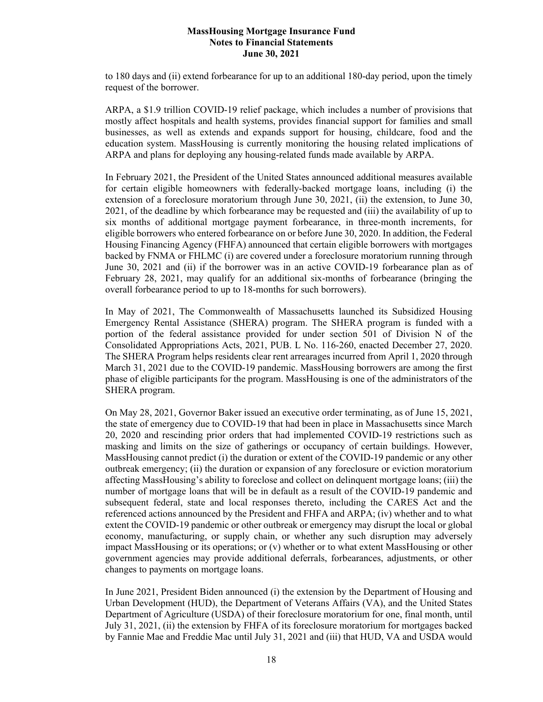to 180 days and (ii) extend forbearance for up to an additional 180-day period, upon the timely request of the borrower.

ARPA, a \$1.9 trillion COVID-19 relief package, which includes a number of provisions that mostly affect hospitals and health systems, provides financial support for families and small businesses, as well as extends and expands support for housing, childcare, food and the education system. MassHousing is currently monitoring the housing related implications of ARPA and plans for deploying any housing-related funds made available by ARPA.

In February 2021, the President of the United States announced additional measures available for certain eligible homeowners with federally-backed mortgage loans, including (i) the extension of a foreclosure moratorium through June 30, 2021, (ii) the extension, to June 30, 2021, of the deadline by which forbearance may be requested and (iii) the availability of up to six months of additional mortgage payment forbearance, in three-month increments, for eligible borrowers who entered forbearance on or before June 30, 2020. In addition, the Federal Housing Financing Agency (FHFA) announced that certain eligible borrowers with mortgages backed by FNMA or FHLMC (i) are covered under a foreclosure moratorium running through June 30, 2021 and (ii) if the borrower was in an active COVID-19 forbearance plan as of February 28, 2021, may qualify for an additional six-months of forbearance (bringing the overall forbearance period to up to 18-months for such borrowers).

In May of 2021, The Commonwealth of Massachusetts launched its Subsidized Housing Emergency Rental Assistance (SHERA) program. The SHERA program is funded with a portion of the federal assistance provided for under section 501 of Division N of the Consolidated Appropriations Acts, 2021, PUB. L No. 116-260, enacted December 27, 2020. The SHERA Program helps residents clear rent arrearages incurred from April 1, 2020 through March 31, 2021 due to the COVID-19 pandemic. MassHousing borrowers are among the first phase of eligible participants for the program. MassHousing is one of the administrators of the SHERA program.

On May 28, 2021, Governor Baker issued an executive order terminating, as of June 15, 2021, the state of emergency due to COVID-19 that had been in place in Massachusetts since March 20, 2020 and rescinding prior orders that had implemented COVID-19 restrictions such as masking and limits on the size of gatherings or occupancy of certain buildings. However, MassHousing cannot predict (i) the duration or extent of the COVID-19 pandemic or any other outbreak emergency; (ii) the duration or expansion of any foreclosure or eviction moratorium affecting MassHousing's ability to foreclose and collect on delinquent mortgage loans; (iii) the number of mortgage loans that will be in default as a result of the COVID-19 pandemic and subsequent federal, state and local responses thereto, including the CARES Act and the referenced actions announced by the President and FHFA and ARPA; (iv) whether and to what extent the COVID-19 pandemic or other outbreak or emergency may disrupt the local or global economy, manufacturing, or supply chain, or whether any such disruption may adversely impact MassHousing or its operations; or (v) whether or to what extent MassHousing or other government agencies may provide additional deferrals, forbearances, adjustments, or other changes to payments on mortgage loans.

In June 2021, President Biden announced (i) the extension by the Department of Housing and Urban Development (HUD), the Department of Veterans Affairs (VA), and the United States Department of Agriculture (USDA) of their foreclosure moratorium for one, final month, until July 31, 2021, (ii) the extension by FHFA of its foreclosure moratorium for mortgages backed by Fannie Mae and Freddie Mac until July 31, 2021 and (iii) that HUD, VA and USDA would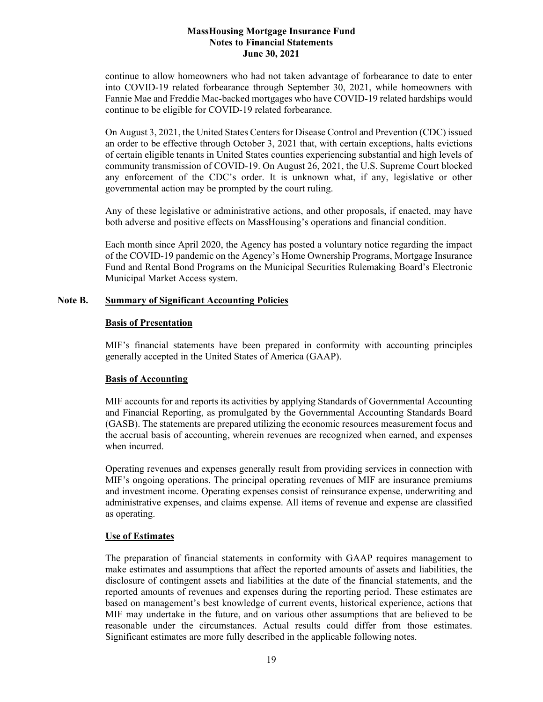continue to allow homeowners who had not taken advantage of forbearance to date to enter into COVID-19 related forbearance through September 30, 2021, while homeowners with Fannie Mae and Freddie Mac-backed mortgages who have COVID-19 related hardships would continue to be eligible for COVID-19 related forbearance.

On August 3, 2021, the United States Centers for Disease Control and Prevention (CDC) issued an order to be effective through October 3, 2021 that, with certain exceptions, halts evictions of certain eligible tenants in United States counties experiencing substantial and high levels of community transmission of COVID-19. On August 26, 2021, the U.S. Supreme Court blocked any enforcement of the CDC's order. It is unknown what, if any, legislative or other governmental action may be prompted by the court ruling.

Any of these legislative or administrative actions, and other proposals, if enacted, may have both adverse and positive effects on MassHousing's operations and financial condition.

Each month since April 2020, the Agency has posted a voluntary notice regarding the impact of the COVID-19 pandemic on the Agency's Home Ownership Programs, Mortgage Insurance Fund and Rental Bond Programs on the Municipal Securities Rulemaking Board's Electronic Municipal Market Access system.

### **Note B. Summary of Significant Accounting Policies**

#### **Basis of Presentation**

MIF's financial statements have been prepared in conformity with accounting principles generally accepted in the United States of America (GAAP).

#### **Basis of Accounting**

MIF accounts for and reports its activities by applying Standards of Governmental Accounting and Financial Reporting, as promulgated by the Governmental Accounting Standards Board (GASB). The statements are prepared utilizing the economic resources measurement focus and the accrual basis of accounting, wherein revenues are recognized when earned, and expenses when incurred.

Operating revenues and expenses generally result from providing services in connection with MIF's ongoing operations. The principal operating revenues of MIF are insurance premiums and investment income. Operating expenses consist of reinsurance expense, underwriting and administrative expenses, and claims expense. All items of revenue and expense are classified as operating.

# **Use of Estimates**

The preparation of financial statements in conformity with GAAP requires management to make estimates and assumptions that affect the reported amounts of assets and liabilities, the disclosure of contingent assets and liabilities at the date of the financial statements, and the reported amounts of revenues and expenses during the reporting period. These estimates are based on management's best knowledge of current events, historical experience, actions that MIF may undertake in the future, and on various other assumptions that are believed to be reasonable under the circumstances. Actual results could differ from those estimates. Significant estimates are more fully described in the applicable following notes.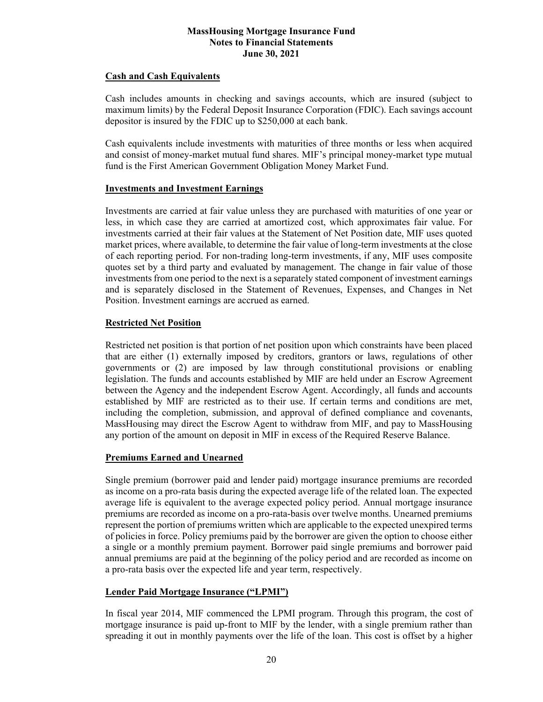## **Cash and Cash Equivalents**

Cash includes amounts in checking and savings accounts, which are insured (subject to maximum limits) by the Federal Deposit Insurance Corporation (FDIC). Each savings account depositor is insured by the FDIC up to \$250,000 at each bank.

Cash equivalents include investments with maturities of three months or less when acquired and consist of money-market mutual fund shares. MIF's principal money-market type mutual fund is the First American Government Obligation Money Market Fund.

### **Investments and Investment Earnings**

Investments are carried at fair value unless they are purchased with maturities of one year or less, in which case they are carried at amortized cost, which approximates fair value. For investments carried at their fair values at the Statement of Net Position date, MIF uses quoted market prices, where available, to determine the fair value of long-term investments at the close of each reporting period. For non-trading long-term investments, if any, MIF uses composite quotes set by a third party and evaluated by management. The change in fair value of those investments from one period to the next is a separately stated component of investment earnings and is separately disclosed in the Statement of Revenues, Expenses, and Changes in Net Position. Investment earnings are accrued as earned.

### **Restricted Net Position**

Restricted net position is that portion of net position upon which constraints have been placed that are either (1) externally imposed by creditors, grantors or laws, regulations of other governments or (2) are imposed by law through constitutional provisions or enabling legislation. The funds and accounts established by MIF are held under an Escrow Agreement between the Agency and the independent Escrow Agent. Accordingly, all funds and accounts established by MIF are restricted as to their use. If certain terms and conditions are met, including the completion, submission, and approval of defined compliance and covenants, MassHousing may direct the Escrow Agent to withdraw from MIF, and pay to MassHousing any portion of the amount on deposit in MIF in excess of the Required Reserve Balance.

# **Premiums Earned and Unearned**

Single premium (borrower paid and lender paid) mortgage insurance premiums are recorded as income on a pro-rata basis during the expected average life of the related loan. The expected average life is equivalent to the average expected policy period. Annual mortgage insurance premiums are recorded as income on a pro-rata-basis over twelve months. Unearned premiums represent the portion of premiums written which are applicable to the expected unexpired terms of policies in force. Policy premiums paid by the borrower are given the option to choose either a single or a monthly premium payment. Borrower paid single premiums and borrower paid annual premiums are paid at the beginning of the policy period and are recorded as income on a pro-rata basis over the expected life and year term, respectively.

# **Lender Paid Mortgage Insurance ("LPMI")**

In fiscal year 2014, MIF commenced the LPMI program. Through this program, the cost of mortgage insurance is paid up-front to MIF by the lender, with a single premium rather than spreading it out in monthly payments over the life of the loan. This cost is offset by a higher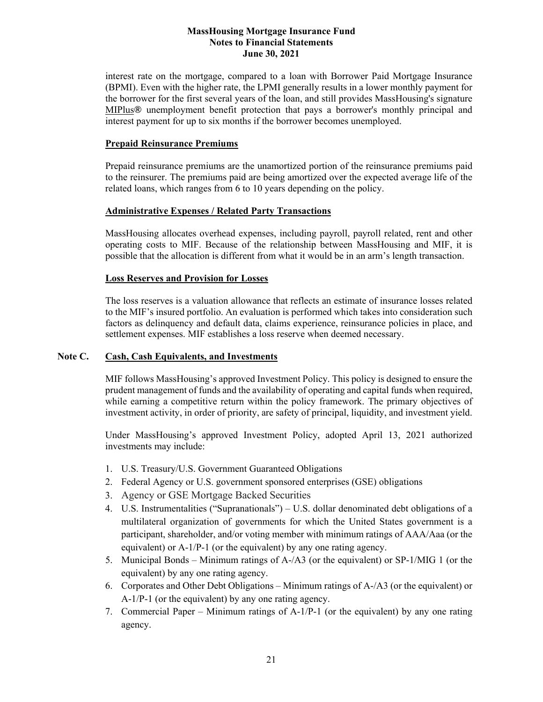interest rate on the mortgage, compared to a loan with Borrower Paid Mortgage Insurance (BPMI). Even with the higher rate, the LPMI generally results in a lower monthly payment for the borrower for the first several years of the loan, and still provides MassHousing's signature [MIPlus](http://www.masshousing.com/miplus)® unemployment benefit protection that pays a borrower's monthly principal and interest payment for up to six months if the borrower becomes unemployed.

# **Prepaid Reinsurance Premiums**

Prepaid reinsurance premiums are the unamortized portion of the reinsurance premiums paid to the reinsurer. The premiums paid are being amortized over the expected average life of the related loans, which ranges from 6 to 10 years depending on the policy.

### **Administrative Expenses / Related Party Transactions**

MassHousing allocates overhead expenses, including payroll, payroll related, rent and other operating costs to MIF. Because of the relationship between MassHousing and MIF, it is possible that the allocation is different from what it would be in an arm's length transaction.

# **Loss Reserves and Provision for Losses**

The loss reserves is a valuation allowance that reflects an estimate of insurance losses related to the MIF's insured portfolio. An evaluation is performed which takes into consideration such factors as delinquency and default data, claims experience, reinsurance policies in place, and settlement expenses. MIF establishes a loss reserve when deemed necessary.

# **Note C. Cash, Cash Equivalents, and Investments**

MIF follows MassHousing's approved Investment Policy. This policy is designed to ensure the prudent management of funds and the availability of operating and capital funds when required, while earning a competitive return within the policy framework. The primary objectives of investment activity, in order of priority, are safety of principal, liquidity, and investment yield.

Under MassHousing's approved Investment Policy, adopted April 13, 2021 authorized investments may include:

- 1. U.S. Treasury/U.S. Government Guaranteed Obligations
- 2. Federal Agency or U.S. government sponsored enterprises (GSE) obligations
- 3. Agency or GSE Mortgage Backed Securities
- 4. U.S. Instrumentalities ("Supranationals") U.S. dollar denominated debt obligations of a multilateral organization of governments for which the United States government is a participant, shareholder, and/or voting member with minimum ratings of AAA/Aaa (or the equivalent) or A-1/P-1 (or the equivalent) by any one rating agency.
- 5. Municipal Bonds Minimum ratings of A-/A3 (or the equivalent) or SP-1/MIG 1 (or the equivalent) by any one rating agency.
- 6. Corporates and Other Debt Obligations Minimum ratings of A-/A3 (or the equivalent) or A-1/P-1 (or the equivalent) by any one rating agency.
- 7. Commercial Paper Minimum ratings of A-1/P-1 (or the equivalent) by any one rating agency.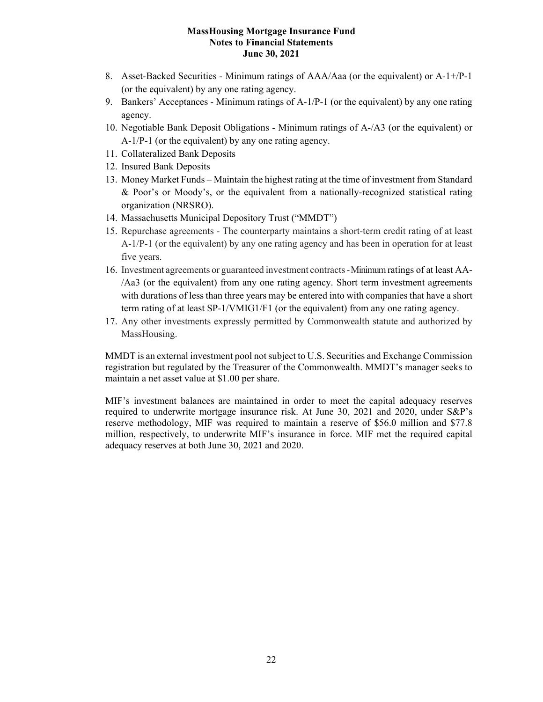- 8. Asset-Backed Securities Minimum ratings of AAA/Aaa (or the equivalent) or A-1+/P-1 (or the equivalent) by any one rating agency.
- 9. Bankers' Acceptances Minimum ratings of A-1/P-1 (or the equivalent) by any one rating agency.
- 10. Negotiable Bank Deposit Obligations Minimum ratings of A-/A3 (or the equivalent) or A-1/P-1 (or the equivalent) by any one rating agency.
- 11. Collateralized Bank Deposits
- 12. Insured Bank Deposits
- 13. Money Market Funds Maintain the highest rating at the time of investment from Standard & Poor's or Moody's, or the equivalent from a nationally-recognized statistical rating organization (NRSRO).
- 14. Massachusetts Municipal Depository Trust ("MMDT")
- 15. Repurchase agreements The counterparty maintains a short-term credit rating of at least A-1/P-1 (or the equivalent) by any one rating agency and has been in operation for at least five years.
- 16. Investment agreements or guaranteed investment contracts-Minimumratings of at least AA- /Aa3 (or the equivalent) from any one rating agency. Short term investment agreements with durations of less than three years may be entered into with companies that have a short term rating of at least SP-1/VMIG1/F1 (or the equivalent) from any one rating agency.
- 17. Any other investments expressly permitted by Commonwealth statute and authorized by MassHousing.

MMDT is an external investment pool not subject to U.S. Securities and Exchange Commission registration but regulated by the Treasurer of the Commonwealth. MMDT's manager seeks to maintain a net asset value at \$1.00 per share.

MIF's investment balances are maintained in order to meet the capital adequacy reserves required to underwrite mortgage insurance risk. At June 30, 2021 and 2020, under S&P's reserve methodology, MIF was required to maintain a reserve of \$56.0 million and \$77.8 million, respectively, to underwrite MIF's insurance in force. MIF met the required capital adequacy reserves at both June 30, 2021 and 2020.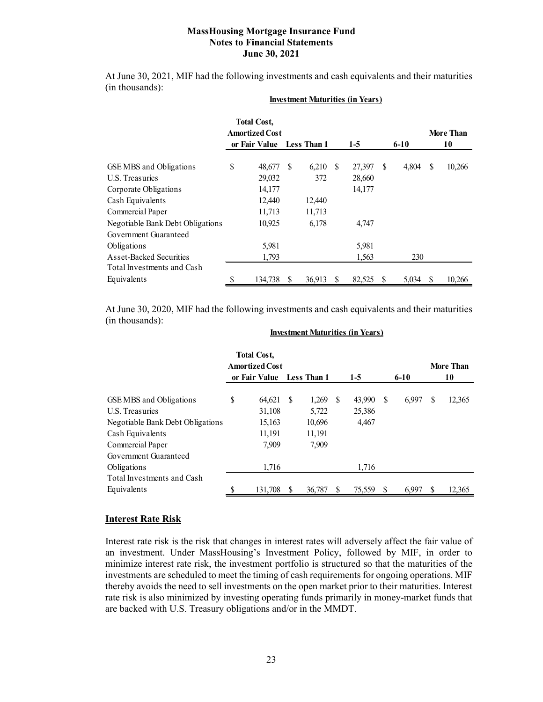**Total Cost, Amortized Cost or Fair Value Less Than 1 1-5 6-10 More Than 10** GSE MBS and Obligations \$ 48,677 \$ 6,210 \$ 27,397 \$ 4,804 \$ 10,266 U.S. Treasuries 29,032 372 28,660 Corporate Obligations 14,177 14,177 Cash Equivalents 12,440 12,440 Commercial Paper 11,713 11,713 Negotiable Bank Debt Obligations 10,925 6,178 4,747 Government Guaranteed Obligations 5,981 5,981 Asset-Backed Securities 1,793 1,563 230 Total Investments and Cash Equivalents \$ 134,738 \$ 36,913 \$ 82,525 \$ 5,034 \$ 10,266

At June 30, 2021, MIF had the following investments and cash equivalents and their maturities (in thousands):

**Investment Maturities (in Years)**

# At June 30, 2020, MIF had the following investments and cash equivalents and their maturities (in thousands):

|                                                   | <b>Total Cost,</b><br><b>Amortized Cost</b> |   |                    |    |        |    |          |    | More Than |
|---------------------------------------------------|---------------------------------------------|---|--------------------|----|--------|----|----------|----|-----------|
|                                                   | or Fair Value                               |   | <b>Less Than 1</b> |    | $1-5$  |    | $6 - 10$ |    | 10        |
|                                                   |                                             |   |                    |    | 43,990 |    |          | -S |           |
| GSE MBS and Obligations<br><b>U.S. Treasuries</b> | \$<br>64,621<br>31,108                      | S | 1,269<br>5,722     | -S | 25,386 | -S | 6,997    |    | 12,365    |
|                                                   |                                             |   |                    |    |        |    |          |    |           |
| Negotiable Bank Debt Obligations                  | 15,163                                      |   | 10,696             |    | 4.467  |    |          |    |           |
| Cash Equivalents                                  | 11,191                                      |   | 11,191             |    |        |    |          |    |           |
| Commercial Paper                                  | 7.909                                       |   | 7.909              |    |        |    |          |    |           |
| Government Guaranteed                             |                                             |   |                    |    |        |    |          |    |           |
| Obligations                                       | 1,716                                       |   |                    |    | 1,716  |    |          |    |           |
| Total Investments and Cash                        |                                             |   |                    |    |        |    |          |    |           |
| Equivalents                                       | \$<br>131.708                               | S | 36,787             |    | 75,559 |    | 6.997    | S  | 12.365    |

### **Investment Maturities (in Years)**

#### **Interest Rate Risk**

Interest rate risk is the risk that changes in interest rates will adversely affect the fair value of an investment. Under MassHousing's Investment Policy, followed by MIF, in order to minimize interest rate risk, the investment portfolio is structured so that the maturities of the investments are scheduled to meet the timing of cash requirements for ongoing operations. MIF thereby avoids the need to sell investments on the open market prior to their maturities. Interest rate risk is also minimized by investing operating funds primarily in money-market funds that are backed with U.S. Treasury obligations and/or in the MMDT.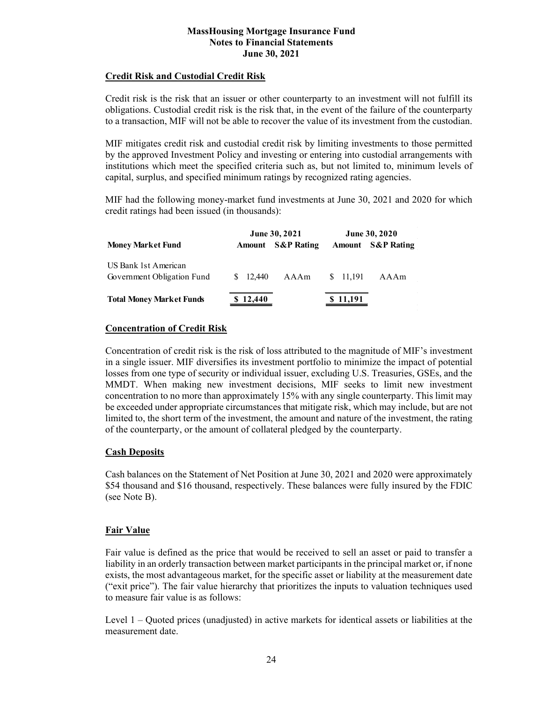# **Credit Risk and Custodial Credit Risk**

Credit risk is the risk that an issuer or other counterparty to an investment will not fulfill its obligations. Custodial credit risk is the risk that, in the event of the failure of the counterparty to a transaction, MIF will not be able to recover the value of its investment from the custodian.

MIF mitigates credit risk and custodial credit risk by limiting investments to those permitted by the approved Investment Policy and investing or entering into custodial arrangements with institutions which meet the specified criteria such as, but not limited to, minimum levels of capital, surplus, and specified minimum ratings by recognized rating agencies.

MIF had the following money-market fund investments at June 30, 2021 and 2020 for which credit ratings had been issued (in thousands):

|                                                    |           | <b>June 30, 2021</b>  | <b>June 30, 2020</b> |                          |  |  |  |
|----------------------------------------------------|-----------|-----------------------|----------------------|--------------------------|--|--|--|
| <b>Money Market Fund</b>                           | Amount    | <b>S&amp;P</b> Rating |                      | <b>Amount</b> S&P Rating |  |  |  |
| US Bank 1st American<br>Government Obligation Fund | \$ 12.440 | AAAm                  | \$ 11.191            | AAAm                     |  |  |  |
| <b>Total Money Market Funds</b>                    | \$12,440  |                       | \$11,191             |                          |  |  |  |

# **Concentration of Credit Risk**

Concentration of credit risk is the risk of loss attributed to the magnitude of MIF's investment in a single issuer. MIF diversifies its investment portfolio to minimize the impact of potential losses from one type of security or individual issuer, excluding U.S. Treasuries, GSEs, and the MMDT. When making new investment decisions, MIF seeks to limit new investment concentration to no more than approximately 15% with any single counterparty. This limit may be exceeded under appropriate circumstances that mitigate risk, which may include, but are not limited to, the short term of the investment, the amount and nature of the investment, the rating of the counterparty, or the amount of collateral pledged by the counterparty.

# **Cash Deposits**

Cash balances on the Statement of Net Position at June 30, 2021 and 2020 were approximately \$54 thousand and \$16 thousand, respectively. These balances were fully insured by the FDIC (see Note B).

# **Fair Value**

Fair value is defined as the price that would be received to sell an asset or paid to transfer a liability in an orderly transaction between market participants in the principal market or, if none exists, the most advantageous market, for the specific asset or liability at the measurement date ("exit price"). The fair value hierarchy that prioritizes the inputs to valuation techniques used to measure fair value is as follows:

Level 1 – Quoted prices (unadjusted) in active markets for identical assets or liabilities at the measurement date.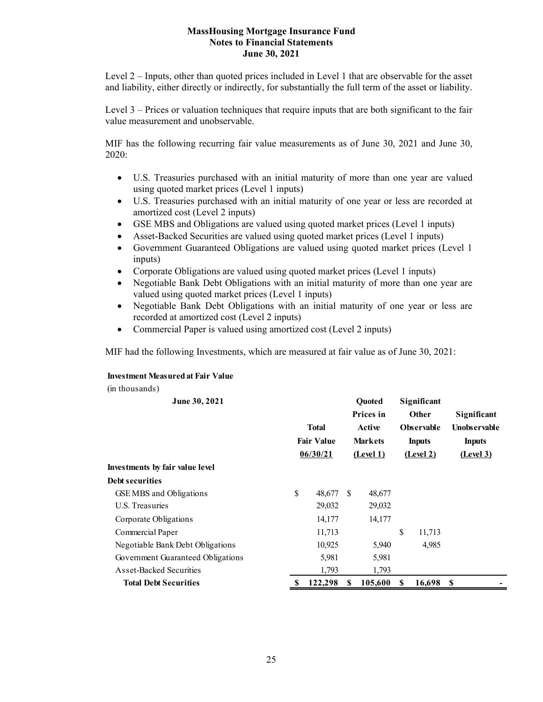Level 2 – Inputs, other than quoted prices included in Level 1 that are observable for the asset and liability, either directly or indirectly, for substantially the full term of the asset or liability.

Level 3 – Prices or valuation techniques that require inputs that are both significant to the fair value measurement and unobservable.

MIF has the following recurring fair value measurements as of June 30, 2021 and June 30, 2020:

- U.S. Treasuries purchased with an initial maturity of more than one year are valued using quoted market prices (Level 1 inputs)
- U.S. Treasuries purchased with an initial maturity of one year or less are recorded at amortized cost (Level 2 inputs)
- GSE MBS and Obligations are valued using quoted market prices (Level 1 inputs)
- Asset-Backed Securities are valued using quoted market prices (Level 1 inputs)
- Government Guaranteed Obligations are valued using quoted market prices (Level 1 inputs)
- Corporate Obligations are valued using quoted market prices (Level 1 inputs)
- Negotiable Bank Debt Obligations with an initial maturity of more than one year are valued using quoted market prices (Level 1 inputs)
- Negotiable Bank Debt Obligations with an initial maturity of one year or less are recorded at amortized cost (Level 2 inputs)
- Commercial Paper is valued using amortized cost (Level 2 inputs)

MIF had the following Investments, which are measured at fair value as of June 30, 2021:

#### **Investment Measured at Fair Value**

(in thousands)

| June 30, 2021                     |    | <b>Total</b><br><b>Fair Value</b><br>06/30/21 |    | <b>Ouoted</b><br>Prices in<br>Active<br><b>Markets</b><br><u>(Level 1)</u> |    | Significant<br><b>Other</b><br><b>Observable</b><br><b>Inputs</b><br>(Level 2) | Significant<br><b>Unobservable</b><br><b>Inputs</b><br>(Level 3) |
|-----------------------------------|----|-----------------------------------------------|----|----------------------------------------------------------------------------|----|--------------------------------------------------------------------------------|------------------------------------------------------------------|
| Investments by fair value level   |    |                                               |    |                                                                            |    |                                                                                |                                                                  |
| <b>Debt securities</b>            |    |                                               |    |                                                                            |    |                                                                                |                                                                  |
| GSE MBS and Obligations           | \$ | 48,677                                        | -S | 48,677                                                                     |    |                                                                                |                                                                  |
| U.S. Treasuries                   |    | 29,032                                        |    | 29,032                                                                     |    |                                                                                |                                                                  |
| Corporate Obligations             |    | 14,177                                        |    | 14,177                                                                     |    |                                                                                |                                                                  |
| Commercial Paper                  |    | 11,713                                        |    |                                                                            | \$ | 11,713                                                                         |                                                                  |
| Negotiable Bank Debt Obligations  |    | 10,925                                        |    | 5,940                                                                      |    | 4,985                                                                          |                                                                  |
| Government Guaranteed Obligations |    | 5,981                                         |    | 5,981                                                                      |    |                                                                                |                                                                  |
| Asset-Backed Securities           |    | 1,793                                         |    | 1,793                                                                      |    |                                                                                |                                                                  |
| <b>Total Debt Securities</b>      | S  | 122,298                                       | S  | 105,600                                                                    | S  | 16,698                                                                         | -S                                                               |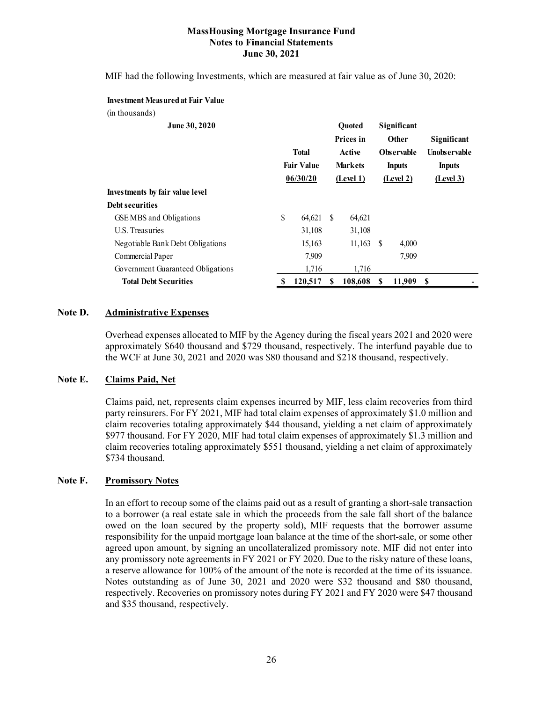MIF had the following Investments, which are measured at fair value as of June 30, 2020:

#### **Investment Measured at Fair Value**

| (in thousands)                    |                                   |          |                                                        |             |   |                                                                   |                                                     |           |  |
|-----------------------------------|-----------------------------------|----------|--------------------------------------------------------|-------------|---|-------------------------------------------------------------------|-----------------------------------------------------|-----------|--|
| June 30, 2020                     | <b>Total</b><br><b>Fair Value</b> |          | <b>Ouoted</b><br>Prices in<br>Active<br><b>Markets</b> |             |   | Significant<br><b>Other</b><br><b>Observable</b><br><b>Inputs</b> | Significant<br><b>Unobservable</b><br><b>Inputs</b> |           |  |
|                                   |                                   | 06/30/20 |                                                        | (Level 1)   |   | (Level 2)                                                         |                                                     | (Level 3) |  |
| Investments by fair value level   |                                   |          |                                                        |             |   |                                                                   |                                                     |           |  |
| <b>Debt securities</b>            |                                   |          |                                                        |             |   |                                                                   |                                                     |           |  |
| <b>GSEMBS</b> and Obligations     | \$                                | 64,621   | <sup>\$</sup>                                          | 64,621      |   |                                                                   |                                                     |           |  |
| U.S. Treasuries                   |                                   | 31,108   |                                                        | 31,108      |   |                                                                   |                                                     |           |  |
| Negotiable Bank Debt Obligations  |                                   | 15,163   |                                                        | $11.163$ \$ |   | 4,000                                                             |                                                     |           |  |
| Commercial Paper                  |                                   | 7,909    |                                                        |             |   | 7,909                                                             |                                                     |           |  |
| Government Guaranteed Obligations |                                   | 1,716    |                                                        | 1,716       |   |                                                                   |                                                     |           |  |
| <b>Total Debt Securities</b>      | S                                 | 120,517  | S                                                      | 108,608     | S | 11.909                                                            | -S                                                  |           |  |

#### **Note D. Administrative Expenses**

Overhead expenses allocated to MIF by the Agency during the fiscal years 2021 and 2020 were approximately \$640 thousand and \$729 thousand, respectively. The interfund payable due to the WCF at June 30, 2021 and 2020 was \$80 thousand and \$218 thousand, respectively.

## **Note E. Claims Paid, Net**

Claims paid, net, represents claim expenses incurred by MIF, less claim recoveries from third party reinsurers. For FY 2021, MIF had total claim expenses of approximately \$1.0 million and claim recoveries totaling approximately \$44 thousand, yielding a net claim of approximately \$977 thousand. For FY 2020, MIF had total claim expenses of approximately \$1.3 million and claim recoveries totaling approximately \$551 thousand, yielding a net claim of approximately \$734 thousand.

# **Note F. Promissory Notes**

In an effort to recoup some of the claims paid out as a result of granting a short-sale transaction to a borrower (a real estate sale in which the proceeds from the sale fall short of the balance owed on the loan secured by the property sold), MIF requests that the borrower assume responsibility for the unpaid mortgage loan balance at the time of the short-sale, or some other agreed upon amount, by signing an uncollateralized promissory note. MIF did not enter into any promissory note agreements in FY 2021 or FY 2020. Due to the risky nature of these loans, a reserve allowance for 100% of the amount of the note is recorded at the time of its issuance. Notes outstanding as of June 30, 2021 and 2020 were \$32 thousand and \$80 thousand, respectively. Recoveries on promissory notes during FY 2021 and FY 2020 were \$47 thousand and \$35 thousand, respectively.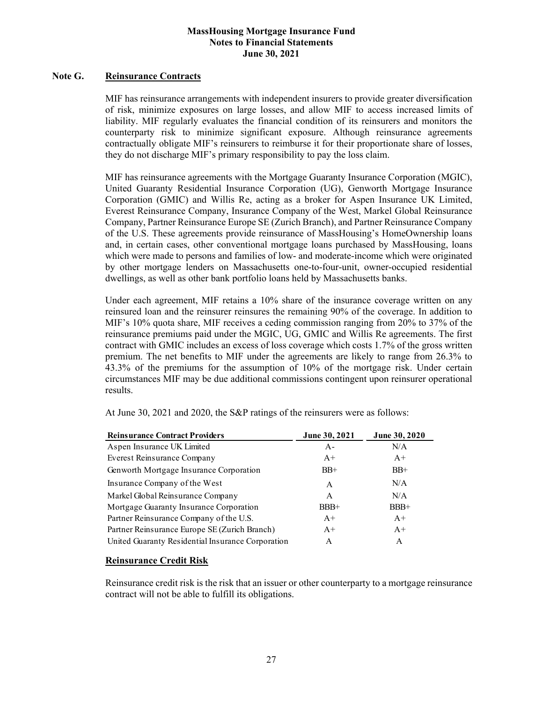### **Note G. Reinsurance Contracts**

MIF has reinsurance arrangements with independent insurers to provide greater diversification of risk, minimize exposures on large losses, and allow MIF to access increased limits of liability. MIF regularly evaluates the financial condition of its reinsurers and monitors the counterparty risk to minimize significant exposure. Although reinsurance agreements contractually obligate MIF's reinsurers to reimburse it for their proportionate share of losses, they do not discharge MIF's primary responsibility to pay the loss claim.

MIF has reinsurance agreements with the Mortgage Guaranty Insurance Corporation (MGIC), United Guaranty Residential Insurance Corporation (UG), Genworth Mortgage Insurance Corporation (GMIC) and Willis Re, acting as a broker for Aspen Insurance UK Limited, Everest Reinsurance Company, Insurance Company of the West, Markel Global Reinsurance Company, Partner Reinsurance Europe SE (Zurich Branch), and Partner Reinsurance Company of the U.S. These agreements provide reinsurance of MassHousing's HomeOwnership loans and, in certain cases, other conventional mortgage loans purchased by MassHousing, loans which were made to persons and families of low- and moderate-income which were originated by other mortgage lenders on Massachusetts one-to-four-unit, owner-occupied residential dwellings, as well as other bank portfolio loans held by Massachusetts banks.

Under each agreement, MIF retains a 10% share of the insurance coverage written on any reinsured loan and the reinsurer reinsures the remaining 90% of the coverage. In addition to MIF's 10% quota share, MIF receives a ceding commission ranging from 20% to 37% of the reinsurance premiums paid under the MGIC, UG, GMIC and Willis Re agreements. The first contract with GMIC includes an excess of loss coverage which costs 1.7% of the gross written premium. The net benefits to MIF under the agreements are likely to range from 26.3% to 43.3% of the premiums for the assumption of 10% of the mortgage risk. Under certain circumstances MIF may be due additional commissions contingent upon reinsurer operational results.

| <b>Reinsurance Contract Providers</b>             | June 30, 2021 | June 30, 2020 |
|---------------------------------------------------|---------------|---------------|
| Aspen Insurance UK Limited                        | $A -$         | N/A           |
| Everest Reinsurance Company                       | $A+$          | $A+$          |
| Genworth Mortgage Insurance Corporation           | $BB+$         | $BB+$         |
| Insurance Company of the West                     | A             | N/A           |
| Markel Global Reinsurance Company                 | A             | N/A           |
| Mortgage Guaranty Insurance Corporation           | $BBB+$        | $BBB+$        |
| Partner Reinsurance Company of the U.S.           | $A+$          | $A+$          |
| Partner Reinsurance Europe SE (Zurich Branch)     | $A+$          | $A+$          |
| United Guaranty Residential Insurance Corporation | A             | A             |

At June 30, 2021 and 2020, the S&P ratings of the reinsurers were as follows:

#### **Reinsurance Credit Risk**

Reinsurance credit risk is the risk that an issuer or other counterparty to a mortgage reinsurance contract will not be able to fulfill its obligations.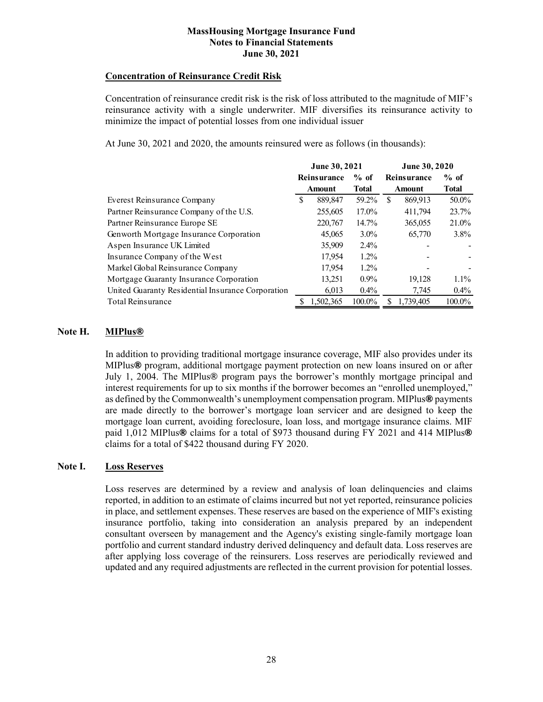## **Concentration of Reinsurance Credit Risk**

Concentration of reinsurance credit risk is the risk of loss attributed to the magnitude of MIF's reinsurance activity with a single underwriter. MIF diversifies its reinsurance activity to minimize the impact of potential losses from one individual issuer

At June 30, 2021 and 2020, the amounts reinsured were as follows (in thousands):

|                                                   | June 30, 2021 |                    |              | June 30, 2020 |                    |              |  |
|---------------------------------------------------|---------------|--------------------|--------------|---------------|--------------------|--------------|--|
|                                                   |               | <b>Reinsurance</b> | $%$ of       |               | <b>Reinsurance</b> | $%$ of       |  |
|                                                   | <b>Amount</b> |                    | <b>Total</b> | <b>Amount</b> |                    | <b>Total</b> |  |
| Everest Reinsurance Company                       | S             | 889,847            | 59.2%        | S             | 869,913            | 50.0%        |  |
| Partner Reinsurance Company of the U.S.           |               | 255,605            | 17.0%        |               | 411,794            | 23.7%        |  |
| Partner Reinsurance Europe SE                     |               | 220,767            | 14.7%        |               | 365,055            | 21.0%        |  |
| Genworth Mortgage Insurance Corporation           |               | 45,065             | $3.0\%$      |               | 65,770             | $3.8\%$      |  |
| Aspen Insurance UK Limited                        |               | 35,909             | $2.4\%$      |               |                    |              |  |
| Insurance Company of the West                     |               | 17.954             | $1.2\%$      |               |                    |              |  |
| Markel Global Reinsurance Company                 |               | 17,954             | $1.2\%$      |               |                    |              |  |
| Mortgage Guaranty Insurance Corporation           |               | 13,251             | $0.9\%$      |               | 19,128             | $1.1\%$      |  |
| United Guaranty Residential Insurance Corporation |               | 6.013              | 0.4%         |               | 7.745              | $0.4\%$      |  |
| Total Reinsurance                                 |               | 1.502.365          | 100.0%       | S             | 1.739,405          | 100.0%       |  |

# **Note H. MIPlus®**

In addition to providing traditional mortgage insurance coverage, MIF also provides under its MIPlus**®** program, additional mortgage payment protection on new loans insured on or after July 1, 2004. The MIPlus® program pays the borrower's monthly mortgage principal and interest requirements for up to six months if the borrower becomes an "enrolled unemployed," as defined by the Commonwealth's unemployment compensation program. MIPlus**®** payments are made directly to the borrower's mortgage loan servicer and are designed to keep the mortgage loan current, avoiding foreclosure, loan loss, and mortgage insurance claims. MIF paid 1,012 MIPlus**®** claims for a total of \$973 thousand during FY 2021 and 414 MIPlus**®** claims for a total of \$422 thousand during FY 2020.

# **Note I. Loss Reserves**

Loss reserves are determined by a review and analysis of loan delinquencies and claims reported, in addition to an estimate of claims incurred but not yet reported, reinsurance policies in place, and settlement expenses. These reserves are based on the experience of MIF's existing insurance portfolio, taking into consideration an analysis prepared by an independent consultant overseen by management and the Agency's existing single-family mortgage loan portfolio and current standard industry derived delinquency and default data. Loss reserves are after applying loss coverage of the reinsurers. Loss reserves are periodically reviewed and updated and any required adjustments are reflected in the current provision for potential losses.